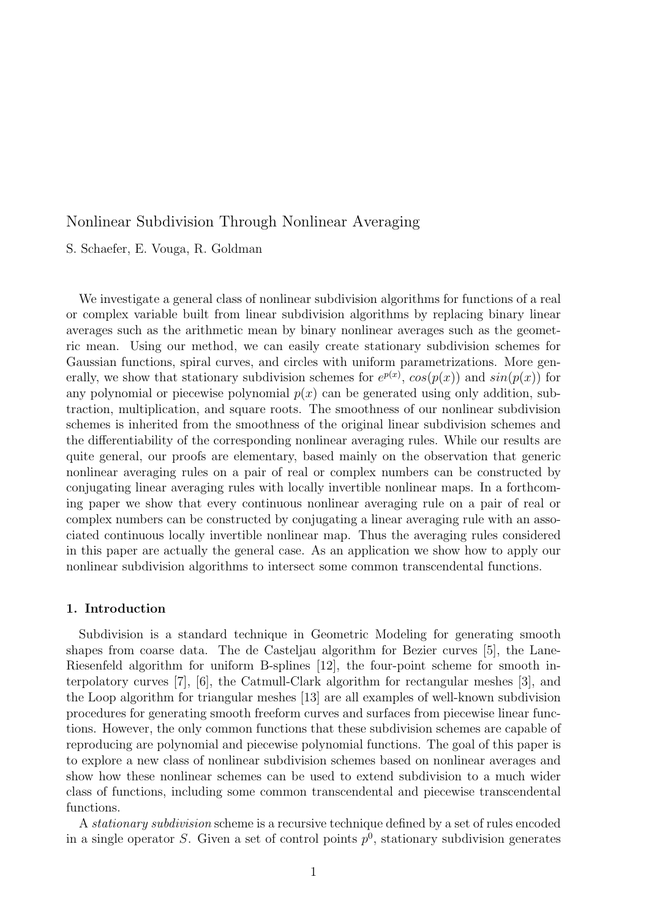# Nonlinear Subdivision Through Nonlinear Averaging

S. Schaefer, E. Vouga, R. Goldman

We investigate a general class of nonlinear subdivision algorithms for functions of a real or complex variable built from linear subdivision algorithms by replacing binary linear averages such as the arithmetic mean by binary nonlinear averages such as the geometric mean. Using our method, we can easily create stationary subdivision schemes for Gaussian functions, spiral curves, and circles with uniform parametrizations. More generally, we show that stationary subdivision schemes for  $e^{p(x)}$ ,  $cos(p(x))$  and  $sin(p(x))$  for any polynomial or piecewise polynomial  $p(x)$  can be generated using only addition, subtraction, multiplication, and square roots. The smoothness of our nonlinear subdivision schemes is inherited from the smoothness of the original linear subdivision schemes and the differentiability of the corresponding nonlinear averaging rules. While our results are quite general, our proofs are elementary, based mainly on the observation that generic nonlinear averaging rules on a pair of real or complex numbers can be constructed by conjugating linear averaging rules with locally invertible nonlinear maps. In a forthcoming paper we show that every continuous nonlinear averaging rule on a pair of real or complex numbers can be constructed by conjugating a linear averaging rule with an associated continuous locally invertible nonlinear map. Thus the averaging rules considered in this paper are actually the general case. As an application we show how to apply our nonlinear subdivision algorithms to intersect some common transcendental functions.

#### 1. Introduction

Subdivision is a standard technique in Geometric Modeling for generating smooth shapes from coarse data. The de Casteljau algorithm for Bezier curves [5], the Lane-Riesenfeld algorithm for uniform B-splines [12], the four-point scheme for smooth interpolatory curves [7], [6], the Catmull-Clark algorithm for rectangular meshes [3], and the Loop algorithm for triangular meshes [13] are all examples of well-known subdivision procedures for generating smooth freeform curves and surfaces from piecewise linear functions. However, the only common functions that these subdivision schemes are capable of reproducing are polynomial and piecewise polynomial functions. The goal of this paper is to explore a new class of nonlinear subdivision schemes based on nonlinear averages and show how these nonlinear schemes can be used to extend subdivision to a much wider class of functions, including some common transcendental and piecewise transcendental functions.

A stationary subdivision scheme is a recursive technique defined by a set of rules encoded in a single operator S. Given a set of control points  $p^0$ , stationary subdivision generates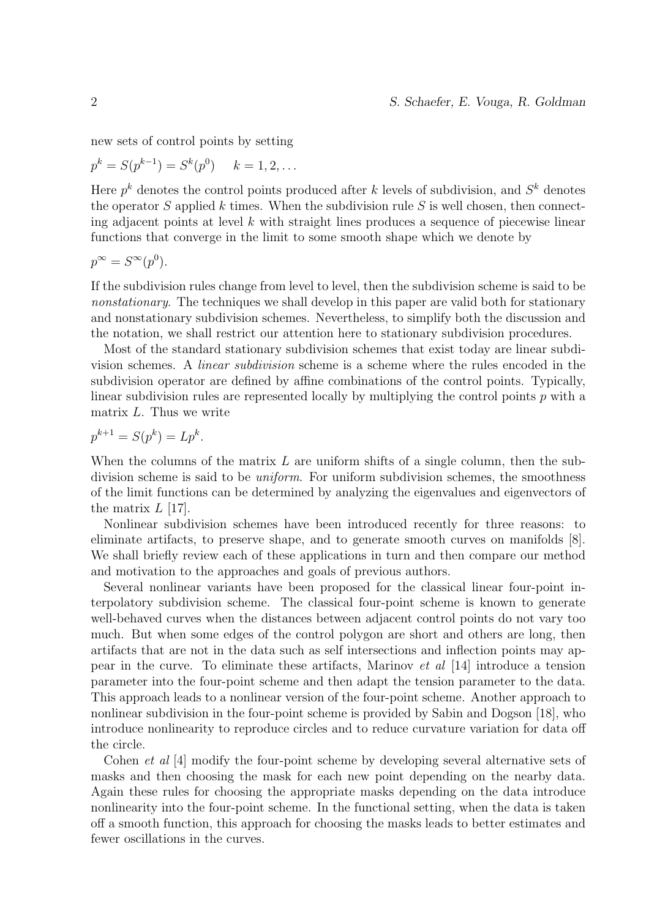new sets of control points by setting

$$
p^k = S(p^{k-1}) = S^k(p^0) \quad k = 1, 2, \dots
$$

Here  $p^k$  denotes the control points produced after k levels of subdivision, and  $S^k$  denotes the operator S applied k times. When the subdivision rule S is well chosen, then connecting adjacent points at level  $k$  with straight lines produces a sequence of piecewise linear functions that converge in the limit to some smooth shape which we denote by

$$
p^{\infty} = S^{\infty}(p^0).
$$

If the subdivision rules change from level to level, then the subdivision scheme is said to be nonstationary. The techniques we shall develop in this paper are valid both for stationary and nonstationary subdivision schemes. Nevertheless, to simplify both the discussion and the notation, we shall restrict our attention here to stationary subdivision procedures.

Most of the standard stationary subdivision schemes that exist today are linear subdivision schemes. A linear subdivision scheme is a scheme where the rules encoded in the subdivision operator are defined by affine combinations of the control points. Typically, linear subdivision rules are represented locally by multiplying the control points p with a matrix L. Thus we write

$$
p^{k+1} = S(p^k) = Lp^k.
$$

When the columns of the matrix  $L$  are uniform shifts of a single column, then the subdivision scheme is said to be uniform. For uniform subdivision schemes, the smoothness of the limit functions can be determined by analyzing the eigenvalues and eigenvectors of the matrix  $L$  [17].

Nonlinear subdivision schemes have been introduced recently for three reasons: to eliminate artifacts, to preserve shape, and to generate smooth curves on manifolds [8]. We shall briefly review each of these applications in turn and then compare our method and motivation to the approaches and goals of previous authors.

Several nonlinear variants have been proposed for the classical linear four-point interpolatory subdivision scheme. The classical four-point scheme is known to generate well-behaved curves when the distances between adjacent control points do not vary too much. But when some edges of the control polygon are short and others are long, then artifacts that are not in the data such as self intersections and inflection points may appear in the curve. To eliminate these artifacts, Marinov et al [14] introduce a tension parameter into the four-point scheme and then adapt the tension parameter to the data. This approach leads to a nonlinear version of the four-point scheme. Another approach to nonlinear subdivision in the four-point scheme is provided by Sabin and Dogson [18], who introduce nonlinearity to reproduce circles and to reduce curvature variation for data off the circle.

Cohen *et al* [4] modify the four-point scheme by developing several alternative sets of masks and then choosing the mask for each new point depending on the nearby data. Again these rules for choosing the appropriate masks depending on the data introduce nonlinearity into the four-point scheme. In the functional setting, when the data is taken off a smooth function, this approach for choosing the masks leads to better estimates and fewer oscillations in the curves.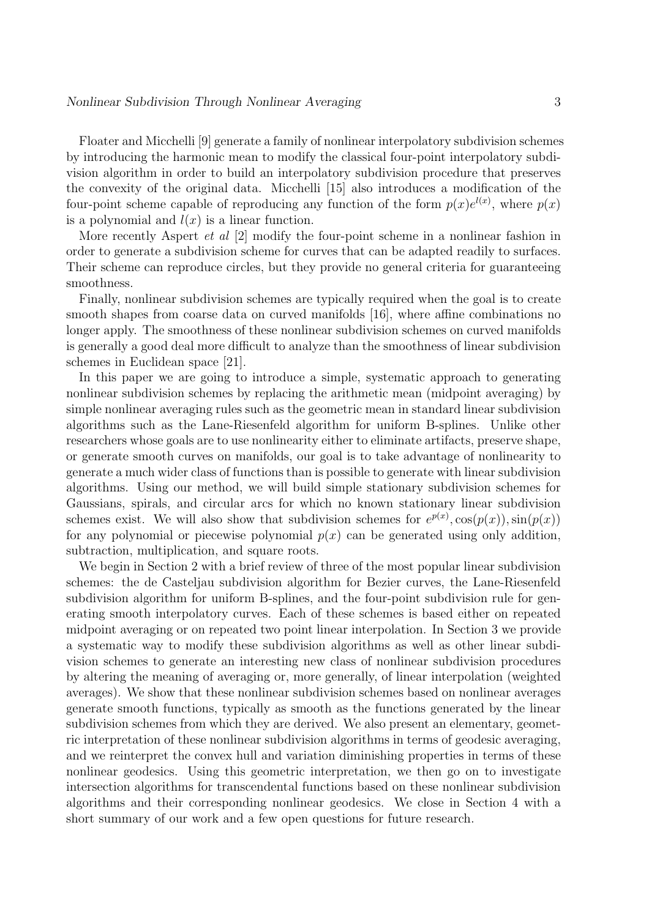Floater and Micchelli [9] generate a family of nonlinear interpolatory subdivision schemes by introducing the harmonic mean to modify the classical four-point interpolatory subdivision algorithm in order to build an interpolatory subdivision procedure that preserves the convexity of the original data. Micchelli [15] also introduces a modification of the four-point scheme capable of reproducing any function of the form  $p(x)e^{l(x)}$ , where  $p(x)$ is a polynomial and  $l(x)$  is a linear function.

More recently Aspert *et al* [2] modify the four-point scheme in a nonlinear fashion in order to generate a subdivision scheme for curves that can be adapted readily to surfaces. Their scheme can reproduce circles, but they provide no general criteria for guaranteeing smoothness.

Finally, nonlinear subdivision schemes are typically required when the goal is to create smooth shapes from coarse data on curved manifolds [16], where affine combinations no longer apply. The smoothness of these nonlinear subdivision schemes on curved manifolds is generally a good deal more difficult to analyze than the smoothness of linear subdivision schemes in Euclidean space [21].

In this paper we are going to introduce a simple, systematic approach to generating nonlinear subdivision schemes by replacing the arithmetic mean (midpoint averaging) by simple nonlinear averaging rules such as the geometric mean in standard linear subdivision algorithms such as the Lane-Riesenfeld algorithm for uniform B-splines. Unlike other researchers whose goals are to use nonlinearity either to eliminate artifacts, preserve shape, or generate smooth curves on manifolds, our goal is to take advantage of nonlinearity to generate a much wider class of functions than is possible to generate with linear subdivision algorithms. Using our method, we will build simple stationary subdivision schemes for Gaussians, spirals, and circular arcs for which no known stationary linear subdivision schemes exist. We will also show that subdivision schemes for  $e^{p(x)}$ ,  $\cos(p(x))$ ,  $\sin(p(x))$ for any polynomial or piecewise polynomial  $p(x)$  can be generated using only addition, subtraction, multiplication, and square roots.

We begin in Section 2 with a brief review of three of the most popular linear subdivision schemes: the de Casteljau subdivision algorithm for Bezier curves, the Lane-Riesenfeld subdivision algorithm for uniform B-splines, and the four-point subdivision rule for generating smooth interpolatory curves. Each of these schemes is based either on repeated midpoint averaging or on repeated two point linear interpolation. In Section 3 we provide a systematic way to modify these subdivision algorithms as well as other linear subdivision schemes to generate an interesting new class of nonlinear subdivision procedures by altering the meaning of averaging or, more generally, of linear interpolation (weighted averages). We show that these nonlinear subdivision schemes based on nonlinear averages generate smooth functions, typically as smooth as the functions generated by the linear subdivision schemes from which they are derived. We also present an elementary, geometric interpretation of these nonlinear subdivision algorithms in terms of geodesic averaging, and we reinterpret the convex hull and variation diminishing properties in terms of these nonlinear geodesics. Using this geometric interpretation, we then go on to investigate intersection algorithms for transcendental functions based on these nonlinear subdivision algorithms and their corresponding nonlinear geodesics. We close in Section 4 with a short summary of our work and a few open questions for future research.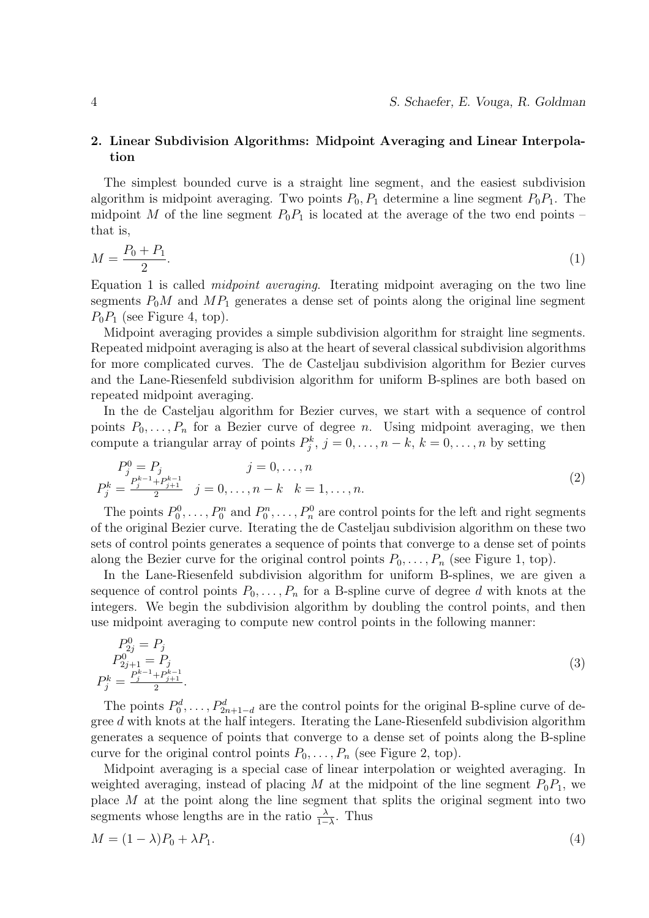# 2. Linear Subdivision Algorithms: Midpoint Averaging and Linear Interpolation

The simplest bounded curve is a straight line segment, and the easiest subdivision algorithm is midpoint averaging. Two points  $P_0, P_1$  determine a line segment  $P_0P_1$ . The midpoint M of the line segment  $P_0P_1$  is located at the average of the two end points – that is,

$$
M = \frac{P_0 + P_1}{2}.\tag{1}
$$

Equation 1 is called midpoint averaging. Iterating midpoint averaging on the two line segments  $P_0M$  and  $MP_1$  generates a dense set of points along the original line segment  $P_0P_1$  (see Figure 4, top).

Midpoint averaging provides a simple subdivision algorithm for straight line segments. Repeated midpoint averaging is also at the heart of several classical subdivision algorithms for more complicated curves. The de Casteljau subdivision algorithm for Bezier curves and the Lane-Riesenfeld subdivision algorithm for uniform B-splines are both based on repeated midpoint averaging.

In the de Casteljau algorithm for Bezier curves, we start with a sequence of control points  $P_0, \ldots, P_n$  for a Bezier curve of degree n. Using midpoint averaging, we then compute a triangular array of points  $P_j^k$ ,  $j = 0, \ldots, n - k$ ,  $k = 0, \ldots, n$  by setting

$$
P_j^0 = P_j \t j = 0, ..., n
$$
  
\n
$$
P_j^k = \frac{P_j^{k-1} + P_{j+1}^{k-1}}{2} \t j = 0, ..., n-k \t k = 1, ..., n.
$$
 (2)

The points  $P_0^0, \ldots, P_0^n$  and  $P_0^n, \ldots, P_n^0$  are control points for the left and right segments of the original Bezier curve. Iterating the de Casteljau subdivision algorithm on these two sets of control points generates a sequence of points that converge to a dense set of points along the Bezier curve for the original control points  $P_0, \ldots, P_n$  (see Figure 1, top).

In the Lane-Riesenfeld subdivision algorithm for uniform B-splines, we are given a sequence of control points  $P_0, \ldots, P_n$  for a B-spline curve of degree d with knots at the integers. We begin the subdivision algorithm by doubling the control points, and then use midpoint averaging to compute new control points in the following manner:

$$
P_{2j}^{0} = P_j
$$
  
\n
$$
P_{2j+1}^{0} = P_j
$$
  
\n
$$
P_j^k = \frac{P_j^{k-1} + P_{j+1}^{k-1}}{2}.
$$
\n(3)

The points  $P_0^d, \ldots, P_{2n+1-d}^d$  are the control points for the original B-spline curve of degree d with knots at the half integers. Iterating the Lane-Riesenfeld subdivision algorithm generates a sequence of points that converge to a dense set of points along the B-spline curve for the original control points  $P_0, \ldots, P_n$  (see Figure 2, top).

Midpoint averaging is a special case of linear interpolation or weighted averaging. In weighted averaging, instead of placing M at the midpoint of the line segment  $P_0P_1$ , we place M at the point along the line segment that splits the original segment into two segments whose lengths are in the ratio  $\frac{\lambda}{1-\lambda}$ . Thus

$$
M = (1 - \lambda)P_0 + \lambda P_1. \tag{4}
$$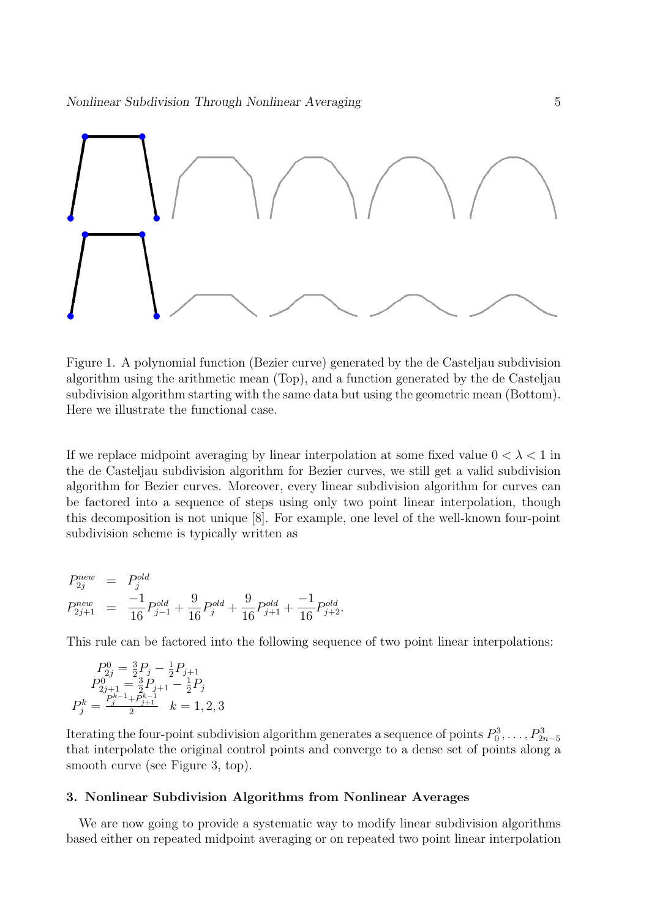

Figure 1. A polynomial function (Bezier curve) generated by the de Casteljau subdivision algorithm using the arithmetic mean (Top), and a function generated by the de Casteljau subdivision algorithm starting with the same data but using the geometric mean (Bottom). Here we illustrate the functional case.

If we replace midpoint averaging by linear interpolation at some fixed value  $0 < \lambda < 1$  in the de Casteljau subdivision algorithm for Bezier curves, we still get a valid subdivision algorithm for Bezier curves. Moreover, every linear subdivision algorithm for curves can be factored into a sequence of steps using only two point linear interpolation, though this decomposition is not unique [8]. For example, one level of the well-known four-point subdivision scheme is typically written as

$$
P_{2j}^{new} = P_j^{old}
$$
  
\n
$$
P_{2j+1}^{new} = \frac{-1}{16} P_{j-1}^{old} + \frac{9}{16} P_j^{old} + \frac{9}{16} P_{j+1}^{old} + \frac{-1}{16} P_{j+2}^{old}.
$$

This rule can be factored into the following sequence of two point linear interpolations:

$$
P_{2j}^{0} = \frac{3}{2}P_j - \frac{1}{2}P_{j+1}
$$
  
\n
$$
P_{2j+1}^{0} = \frac{3}{2}P_{j+1} - \frac{1}{2}P_j
$$
  
\n
$$
P_j^k = \frac{P_j^{k-1} + P_{j+1}^{k-1}}{2} \quad k = 1, 2, 3
$$

Iterating the four-point subdivision algorithm generates a sequence of points  $P_0^3, \ldots, P_{2n-5}^3$ that interpolate the original control points and converge to a dense set of points along a smooth curve (see Figure 3, top).

## 3. Nonlinear Subdivision Algorithms from Nonlinear Averages

We are now going to provide a systematic way to modify linear subdivision algorithms based either on repeated midpoint averaging or on repeated two point linear interpolation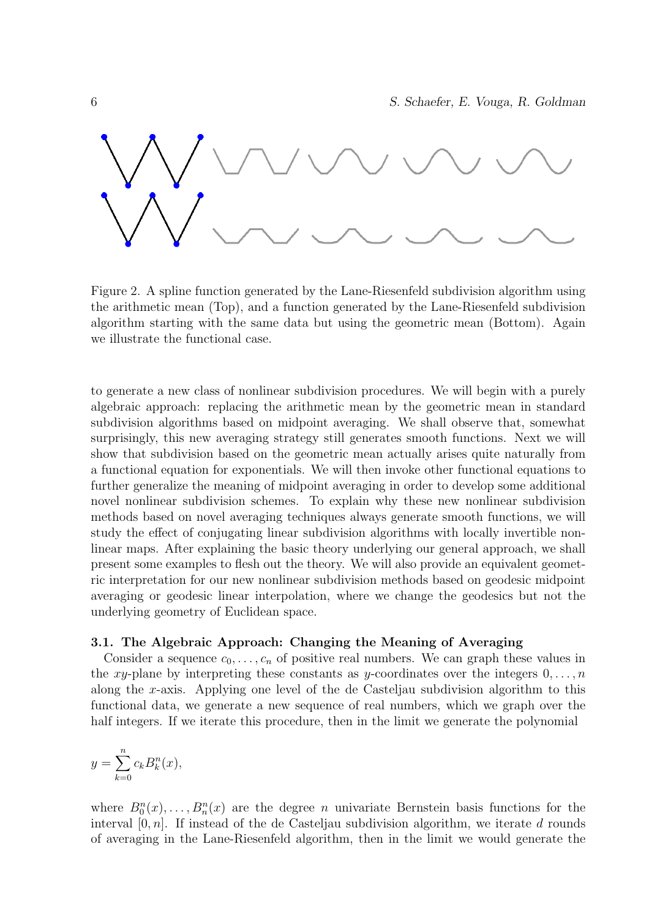

Figure 2. A spline function generated by the Lane-Riesenfeld subdivision algorithm using the arithmetic mean (Top), and a function generated by the Lane-Riesenfeld subdivision algorithm starting with the same data but using the geometric mean (Bottom). Again we illustrate the functional case.

to generate a new class of nonlinear subdivision procedures. We will begin with a purely algebraic approach: replacing the arithmetic mean by the geometric mean in standard subdivision algorithms based on midpoint averaging. We shall observe that, somewhat surprisingly, this new averaging strategy still generates smooth functions. Next we will show that subdivision based on the geometric mean actually arises quite naturally from a functional equation for exponentials. We will then invoke other functional equations to further generalize the meaning of midpoint averaging in order to develop some additional novel nonlinear subdivision schemes. To explain why these new nonlinear subdivision methods based on novel averaging techniques always generate smooth functions, we will study the effect of conjugating linear subdivision algorithms with locally invertible nonlinear maps. After explaining the basic theory underlying our general approach, we shall present some examples to flesh out the theory. We will also provide an equivalent geometric interpretation for our new nonlinear subdivision methods based on geodesic midpoint averaging or geodesic linear interpolation, where we change the geodesics but not the underlying geometry of Euclidean space.

### 3.1. The Algebraic Approach: Changing the Meaning of Averaging

Consider a sequence  $c_0, \ldots, c_n$  of positive real numbers. We can graph these values in the xy-plane by interpreting these constants as y-coordinates over the integers  $0, \ldots, n$ along the x-axis. Applying one level of the de Casteljau subdivision algorithm to this functional data, we generate a new sequence of real numbers, which we graph over the half integers. If we iterate this procedure, then in the limit we generate the polynomial

$$
y = \sum_{k=0}^{n} c_k B_k^n(x),
$$

where  $B_0^n(x), \ldots, B_n^n(x)$  are the degree *n* univariate Bernstein basis functions for the interval  $[0, n]$ . If instead of the de Casteljau subdivision algorithm, we iterate d rounds of averaging in the Lane-Riesenfeld algorithm, then in the limit we would generate the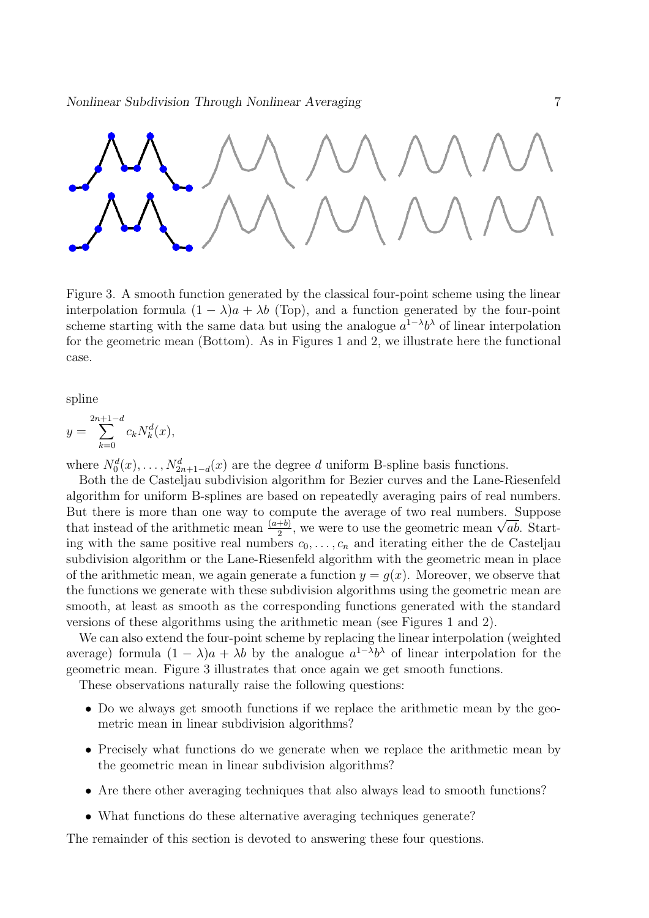$$
\mathcal{N}\sim\mathcal{N}\sim\mathcal{N}\sim\mathcal{N}
$$

Figure 3. A smooth function generated by the classical four-point scheme using the linear interpolation formula  $(1 - \lambda)a + \lambda b$  (Top), and a function generated by the four-point scheme starting with the same data but using the analogue  $a^{1-\lambda}b^{\lambda}$  of linear interpolation for the geometric mean (Bottom). As in Figures 1 and 2, we illustrate here the functional case.

spline

$$
y = \sum_{k=0}^{2n+1-d} c_k N_k^d(x),
$$

where  $N_0^d(x), \ldots, N_{2n+1-d}^d(x)$  are the degree d uniform B-spline basis functions.

Both the de Casteljau subdivision algorithm for Bezier curves and the Lane-Riesenfeld algorithm for uniform B-splines are based on repeatedly averaging pairs of real numbers. But there is more than one way to compute the average of two real numbers. Suppose that instead of the arithmetic mean  $\frac{(a+b)}{2}$ , we were to use the geometric mean  $\sqrt{ab}$ . Starting with the same positive real numbers  $c_0, \ldots, c_n$  and iterating either the de Casteljau subdivision algorithm or the Lane-Riesenfeld algorithm with the geometric mean in place of the arithmetic mean, we again generate a function  $y = g(x)$ . Moreover, we observe that the functions we generate with these subdivision algorithms using the geometric mean are smooth, at least as smooth as the corresponding functions generated with the standard versions of these algorithms using the arithmetic mean (see Figures 1 and 2).

We can also extend the four-point scheme by replacing the linear interpolation (weighted average) formula  $(1 - \lambda)a + \lambda b$  by the analogue  $a^{1-\lambda}b^{\lambda}$  of linear interpolation for the geometric mean. Figure 3 illustrates that once again we get smooth functions.

These observations naturally raise the following questions:

- Do we always get smooth functions if we replace the arithmetic mean by the geometric mean in linear subdivision algorithms?
- Precisely what functions do we generate when we replace the arithmetic mean by the geometric mean in linear subdivision algorithms?
- Are there other averaging techniques that also always lead to smooth functions?
- What functions do these alternative averaging techniques generate?

The remainder of this section is devoted to answering these four questions.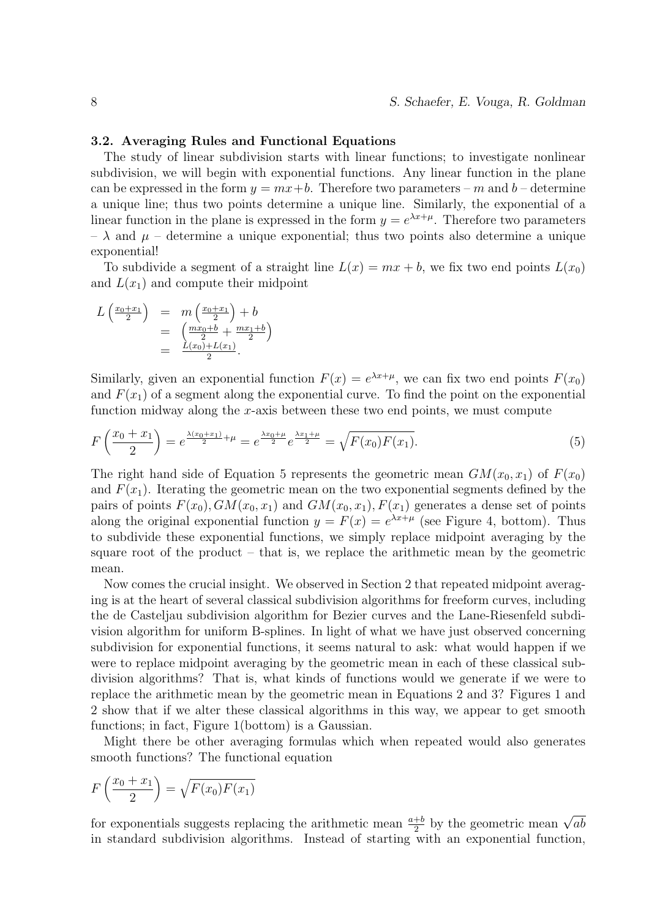## 3.2. Averaging Rules and Functional Equations

The study of linear subdivision starts with linear functions; to investigate nonlinear subdivision, we will begin with exponential functions. Any linear function in the plane can be expressed in the form  $y = mx+b$ . Therefore two parameters – m and b – determine a unique line; thus two points determine a unique line. Similarly, the exponential of a linear function in the plane is expressed in the form  $y = e^{\lambda x + \mu}$ . Therefore two parameters  $-\lambda$  and  $\mu$  – determine a unique exponential; thus two points also determine a unique exponential!

To subdivide a segment of a straight line  $L(x) = mx + b$ , we fix two end points  $L(x_0)$ and  $L(x_1)$  and compute their midpoint

$$
L\left(\frac{x_0+x_1}{2}\right) = m\left(\frac{x_0+x_1}{2}\right) + b
$$
  
= 
$$
\left(\frac{mx_0+b}{2} + \frac{mx_1+b}{2}\right)
$$
  
= 
$$
\frac{L(x_0)+L(x_1)}{2}.
$$

Similarly, given an exponential function  $F(x) = e^{\lambda x + \mu}$ , we can fix two end points  $F(x_0)$ and  $F(x_1)$  of a segment along the exponential curve. To find the point on the exponential function midway along the  $x$ -axis between these two end points, we must compute

$$
F\left(\frac{x_0 + x_1}{2}\right) = e^{\frac{\lambda(x_0 + x_1)}{2} + \mu} = e^{\frac{\lambda x_0 + \mu}{2}} e^{\frac{\lambda x_1 + \mu}{2}} = \sqrt{F(x_0)F(x_1)}.
$$
\n(5)

The right hand side of Equation 5 represents the geometric mean  $GM(x_0, x_1)$  of  $F(x_0)$ and  $F(x_1)$ . Iterating the geometric mean on the two exponential segments defined by the pairs of points  $F(x_0), GM(x_0, x_1)$  and  $GM(x_0, x_1), F(x_1)$  generates a dense set of points along the original exponential function  $y = F(x) = e^{\lambda x + \mu}$  (see Figure 4, bottom). Thus to subdivide these exponential functions, we simply replace midpoint averaging by the square root of the product – that is, we replace the arithmetic mean by the geometric mean.

Now comes the crucial insight. We observed in Section 2 that repeated midpoint averaging is at the heart of several classical subdivision algorithms for freeform curves, including the de Casteljau subdivision algorithm for Bezier curves and the Lane-Riesenfeld subdivision algorithm for uniform B-splines. In light of what we have just observed concerning subdivision for exponential functions, it seems natural to ask: what would happen if we were to replace midpoint averaging by the geometric mean in each of these classical subdivision algorithms? That is, what kinds of functions would we generate if we were to replace the arithmetic mean by the geometric mean in Equations 2 and 3? Figures 1 and 2 show that if we alter these classical algorithms in this way, we appear to get smooth functions; in fact, Figure 1(bottom) is a Gaussian.

Might there be other averaging formulas which when repeated would also generates smooth functions? The functional equation

$$
F\left(\frac{x_0 + x_1}{2}\right) = \sqrt{F(x_0)F(x_1)}
$$

for exponentials suggests replacing the arithmetic mean  $\frac{a+b}{2}$  by the geometric mean  $\sqrt{ab}$ in standard subdivision algorithms. Instead of starting with an exponential function,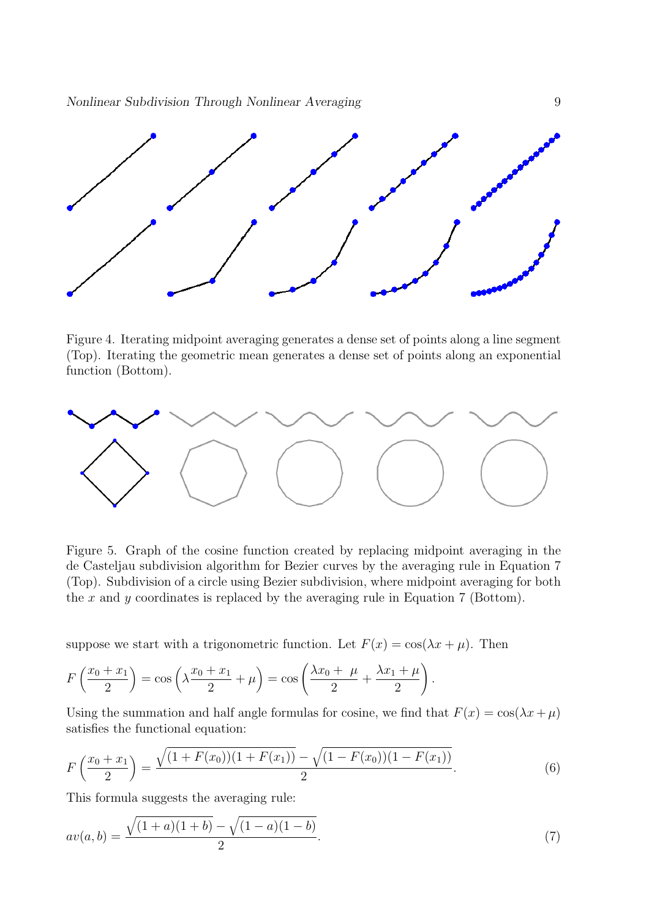Nonlinear Subdivision Through Nonlinear Averaging 9



Figure 4. Iterating midpoint averaging generates a dense set of points along a line segment (Top). Iterating the geometric mean generates a dense set of points along an exponential function (Bottom).



Figure 5. Graph of the cosine function created by replacing midpoint averaging in the de Casteljau subdivision algorithm for Bezier curves by the averaging rule in Equation 7 (Top). Subdivision of a circle using Bezier subdivision, where midpoint averaging for both the x and y coordinates is replaced by the averaging rule in Equation 7 (Bottom).

suppose we start with a trigonometric function. Let  $F(x) = \cos(\lambda x + \mu)$ . Then

$$
F\left(\frac{x_0 + x_1}{2}\right) = \cos\left(\lambda \frac{x_0 + x_1}{2} + \mu\right) = \cos\left(\frac{\lambda x_0 + \mu}{2} + \frac{\lambda x_1 + \mu}{2}\right).
$$

Using the summation and half angle formulas for cosine, we find that  $F(x) = \cos(\lambda x + \mu)$ satisfies the functional equation:

$$
F\left(\frac{x_0 + x_1}{2}\right) = \frac{\sqrt{(1 + F(x_0))(1 + F(x_1))} - \sqrt{(1 - F(x_0))(1 - F(x_1))}}{2}.
$$
\n(6)

This formula suggests the averaging rule:

$$
av(a,b) = \frac{\sqrt{(1+a)(1+b)} - \sqrt{(1-a)(1-b)}}{2}.
$$
\n(7)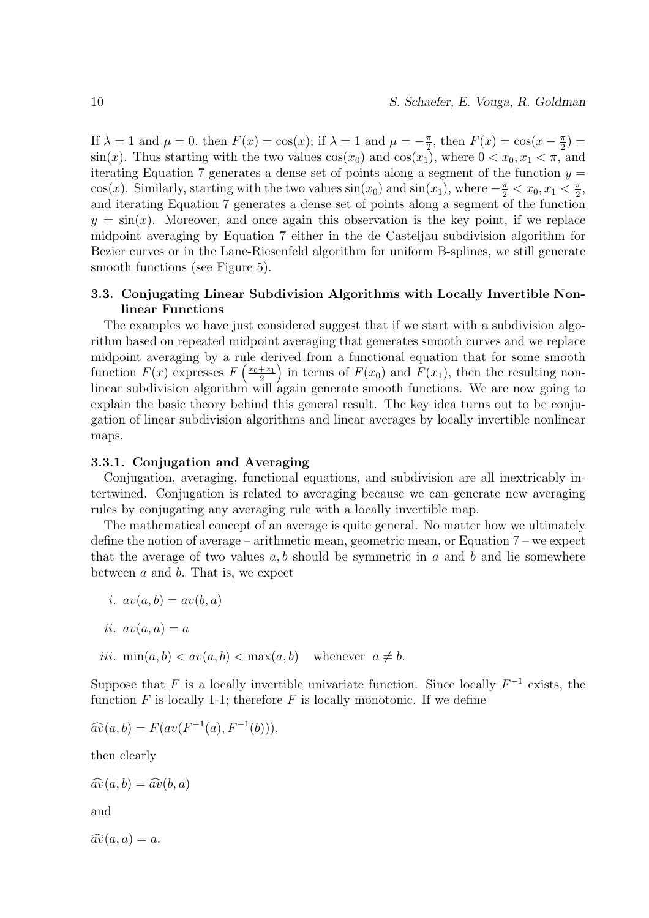If  $\lambda = 1$  and  $\mu = 0$ , then  $F(x) = \cos(x)$ ; if  $\lambda = 1$  and  $\mu = -\frac{\pi}{2}$  $\frac{\pi}{2}$ , then  $F(x) = \cos(x - \frac{\pi}{2})$  $\frac{\pi}{2}) =$  $\sin(x)$ . Thus starting with the two values  $\cos(x_0)$  and  $\cos(x_1)$ , where  $0 < x_0, x_1 < \pi$ , and iterating Equation 7 generates a dense set of points along a segment of the function  $y =$ cos(x). Similarly, starting with the two values  $sin(x_0)$  and  $sin(x_1)$ , where  $-\frac{\pi}{2} < x_0, x_1 < \frac{\pi}{2}$  $\frac{\pi}{2}$ and iterating Equation 7 generates a dense set of points along a segment of the function  $y = sin(x)$ . Moreover, and once again this observation is the key point, if we replace midpoint averaging by Equation 7 either in the de Casteljau subdivision algorithm for Bezier curves or in the Lane-Riesenfeld algorithm for uniform B-splines, we still generate smooth functions (see Figure 5).

# 3.3. Conjugating Linear Subdivision Algorithms with Locally Invertible Nonlinear Functions

The examples we have just considered suggest that if we start with a subdivision algorithm based on repeated midpoint averaging that generates smooth curves and we replace midpoint averaging by a rule derived from a functional equation that for some smooth function  $F(x)$  expresses  $F\left(\frac{x_0+x_1}{2}\right)$ 2 ) in terms of  $F(x_0)$  and  $F(x_1)$ , then the resulting nonlinear subdivision algorithm will again generate smooth functions. We are now going to explain the basic theory behind this general result. The key idea turns out to be conjugation of linear subdivision algorithms and linear averages by locally invertible nonlinear maps.

## 3.3.1. Conjugation and Averaging

Conjugation, averaging, functional equations, and subdivision are all inextricably intertwined. Conjugation is related to averaging because we can generate new averaging rules by conjugating any averaging rule with a locally invertible map.

The mathematical concept of an average is quite general. No matter how we ultimately define the notion of average – arithmetic mean, geometric mean, or Equation 7 – we expect that the average of two values  $a, b$  should be symmetric in a and b and lie somewhere between  $a$  and  $b$ . That is, we expect

$$
i. av(a, b) = av(b, a)
$$

- ii.  $av(a, a) = a$
- iii.  $\min(a, b) < av(a, b) < \max(a, b)$  whenever  $a \neq b$ .

Suppose that F is a locally invertible univariate function. Since locally  $F^{-1}$  exists, the function  $F$  is locally 1-1; therefore  $F$  is locally monotonic. If we define

$$
\widehat{av}(a,b) = F(av(F^{-1}(a), F^{-1}(b))),
$$

then clearly

$$
\widehat{av}(a,b) = \widehat{av}(b,a)
$$

and

 $\widehat{av}(a, a) = a.$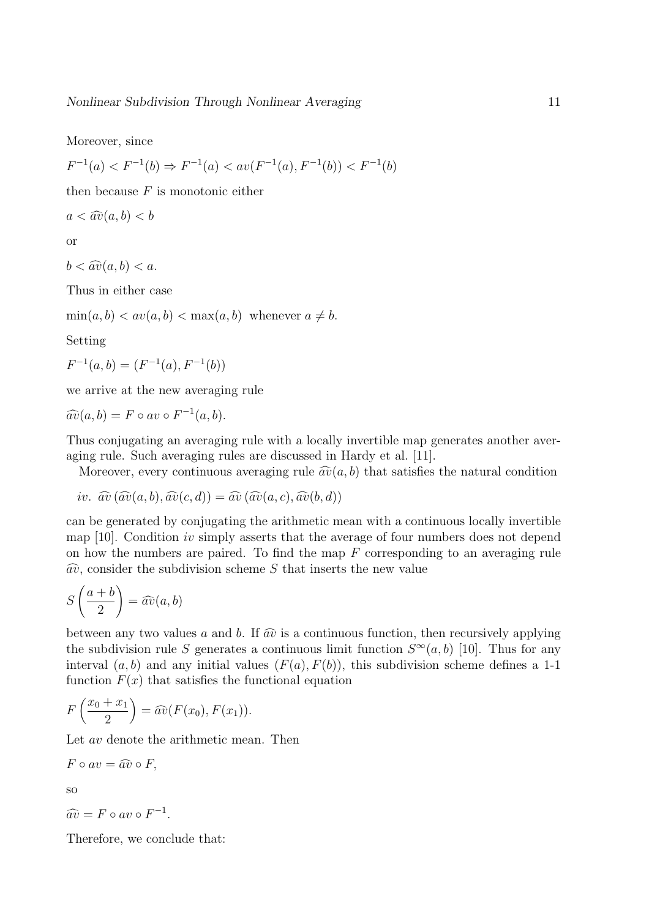Moreover, since

$$
F^{-1}(a) < F^{-1}(b) \Rightarrow F^{-1}(a) < av(F^{-1}(a), F^{-1}(b)) < F^{-1}(b)
$$

then because  $F$  is monotonic either

 $a < \widehat{av}(a, b) < b$ 

or

 $b < \widehat{av}(a, b) < a$ .

Thus in either case

 $\min(a, b) < av(a, b) < \max(a, b)$  whenever  $a \neq b$ .

Setting

$$
F^{-1}(a,b) = (F^{-1}(a), F^{-1}(b))
$$

we arrive at the new averaging rule

$$
\widehat{av}(a,b) = F \circ av \circ F^{-1}(a,b).
$$

Thus conjugating an averaging rule with a locally invertible map generates another averaging rule. Such averaging rules are discussed in Hardy et al. [11].

Moreover, every continuous averaging rule  $\widehat{av}(a, b)$  that satisfies the natural condition

$$
iv. \ \widehat{av}(\widehat{av}(a,b),\widehat{av}(c,d)) = \widehat{av}(\widehat{av}(a,c),\widehat{av}(b,d))
$$

can be generated by conjugating the arithmetic mean with a continuous locally invertible map  $[10]$ . Condition iv simply asserts that the average of four numbers does not depend on how the numbers are paired. To find the map  $F$  corresponding to an averaging rule  $\widehat{av}$ , consider the subdivision scheme S that inserts the new value

$$
S\left(\frac{a+b}{2}\right) = \widehat{av}(a,b)
$$

between any two values a and b. If  $\widehat{av}$  is a continuous function, then recursively applying the subdivision rule S generates a continuous limit function  $S^{\infty}(a, b)$  [10]. Thus for any interval  $(a, b)$  and any initial values  $(F(a), F(b))$ , this subdivision scheme defines a 1-1 function  $F(x)$  that satisfies the functional equation

$$
F\left(\frac{x_0 + x_1}{2}\right) = \widehat{av}(F(x_0), F(x_1)).
$$

Let *av* denote the arithmetic mean. Then

$$
F \circ av = \widehat{av} \circ F,
$$

so

$$
\widehat{av} = F \circ av \circ F^{-1}.
$$

Therefore, we conclude that: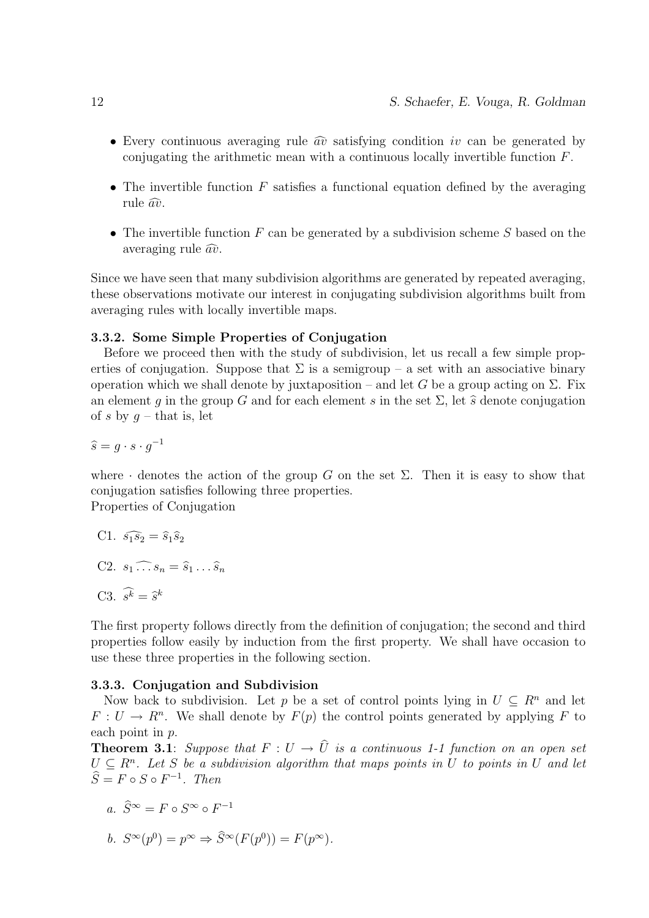- Every continuous averaging rule  $\widehat{av}$  satisfying condition iv can be generated by conjugating the arithmetic mean with a continuous locally invertible function F.
- The invertible function  $F$  satisfies a functional equation defined by the averaging rule  $\widehat{av}$ .
- The invertible function  $F$  can be generated by a subdivision scheme  $S$  based on the averaging rule  $\widehat{av}$ .

Since we have seen that many subdivision algorithms are generated by repeated averaging, these observations motivate our interest in conjugating subdivision algorithms built from averaging rules with locally invertible maps.

## 3.3.2. Some Simple Properties of Conjugation

Before we proceed then with the study of subdivision, let us recall a few simple properties of conjugation. Suppose that  $\Sigma$  is a semigroup – a set with an associative binary operation which we shall denote by juxtaposition – and let G be a group acting on  $\Sigma$ . Fix an element q in the group G and for each element s in the set  $\Sigma$ , let  $\hat{s}$  denote conjugation of s by  $q$  – that is, let

$$
\widehat{s} = g \cdot s \cdot g^{-1}
$$

where  $\cdot$  denotes the action of the group G on the set  $\Sigma$ . Then it is easy to show that conjugation satisfies following three properties. Properties of Conjugation

$$
C1. \ \widehat{s_1s_2} = \widehat{s}_1\widehat{s}_2
$$

C2.  $s_1 \frown s_n = \hat{s}_1 \dots \hat{s}_n$ 

C3. 
$$
\widehat{s^k} = \widehat{s}^k
$$

The first property follows directly from the definition of conjugation; the second and third properties follow easily by induction from the first property. We shall have occasion to use these three properties in the following section.

## 3.3.3. Conjugation and Subdivision

Now back to subdivision. Let p be a set of control points lying in  $U \subseteq R^n$  and let  $F: U \to R^n$ . We shall denote by  $F(p)$  the control points generated by applying F to each point in p.

**Theorem 3.1:** Suppose that  $F: U \to \hat{U}$  is a continuous 1-1 function on an open set  $U \subseteq R^n$ . Let S be a subdivision algorithm that maps points in U to points in U and let  $\widehat{S} = F \circ S \circ F^{-1}$ . Then

$$
a. \ \hat{S}^{\infty} = F \circ S^{\infty} \circ F^{-1}
$$

b.  $S^{\infty}(p^0) = p^{\infty} \Rightarrow \widehat{S}^{\infty}(F(p^0)) = F(p^{\infty}).$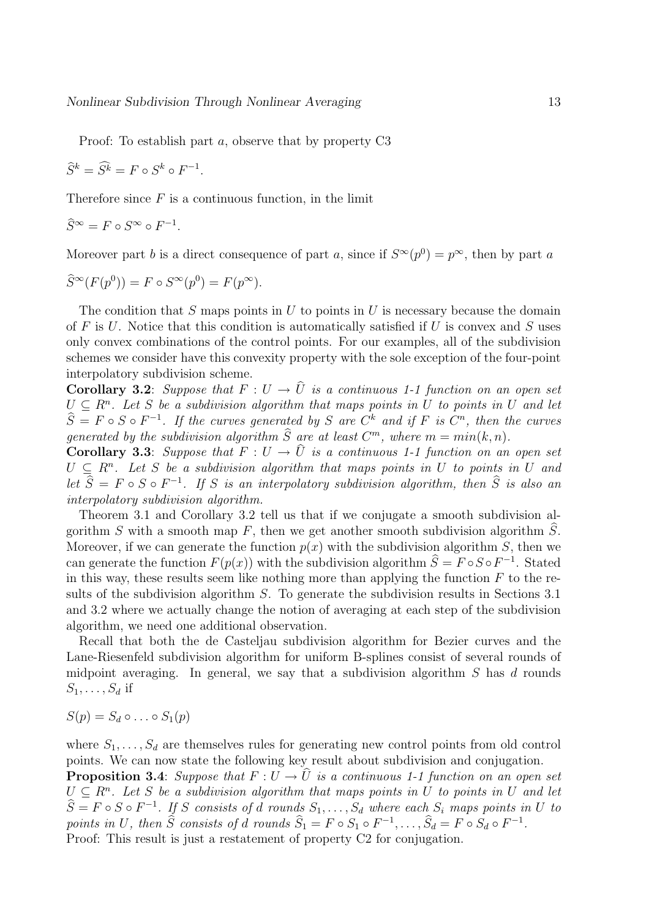Proof: To establish part a, observe that by property C3

$$
\widehat{S}^k = \widehat{S}^k = F \circ S^k \circ F^{-1}.
$$

Therefore since  $F$  is a continuous function, in the limit

$$
\widehat{S}^{\infty} = F \circ S^{\infty} \circ F^{-1}.
$$

Moreover part b is a direct consequence of part a, since if  $S^{\infty}(p^0) = p^{\infty}$ , then by part a

$$
\widehat{S}^{\infty}(F(p^0)) = F \circ S^{\infty}(p^0) = F(p^{\infty}).
$$

The condition that S maps points in  $U$  to points in  $U$  is necessary because the domain of F is U. Notice that this condition is automatically satisfied if U is convex and S uses only convex combinations of the control points. For our examples, all of the subdivision schemes we consider have this convexity property with the sole exception of the four-point interpolatory subdivision scheme.

**Corollary 3.2:** Suppose that  $F: U \to \hat{U}$  is a continuous 1-1 function on an open set  $U \subseteq R^n$ . Let S be a subdivision algorithm that maps points in U to points in U and let  $\widehat{S} = F \circ S \circ F^{-1}$ . If the curves generated by S are  $C^k$  and if F is  $C^n$ , then the curves generated by the subdivision algorithm  $\widehat{S}$  are at least  $C^m$ , where  $m = min(k, n)$ .

**Corollary 3.3:** Suppose that  $F: U \to \hat{U}$  is a continuous 1-1 function on an open set  $U \subseteq R^n$ . Let S be a subdivision algorithm that maps points in U to points in U and let  $\widehat{S} = F \circ S \circ F^{-1}$ . If S is an interpolatory subdivision algorithm, then  $\widehat{S}$  is also an interpolatory subdivision algorithm.

Theorem 3.1 and Corollary 3.2 tell us that if we conjugate a smooth subdivision algorithm S with a smooth map F, then we get another smooth subdivision algorithm  $\tilde{S}$ . Moreover, if we can generate the function  $p(x)$  with the subdivision algorithm S, then we can generate the function  $F(p(x))$  with the subdivision algorithm  $\hat{S} = F \circ S \circ F^{-1}$ . Stated in this way, these results seem like nothing more than applying the function  $F$  to the results of the subdivision algorithm S. To generate the subdivision results in Sections 3.1 and 3.2 where we actually change the notion of averaging at each step of the subdivision algorithm, we need one additional observation.

Recall that both the de Casteljau subdivision algorithm for Bezier curves and the Lane-Riesenfeld subdivision algorithm for uniform B-splines consist of several rounds of midpoint averaging. In general, we say that a subdivision algorithm  $S$  has  $d$  rounds  $S_1, \ldots, S_d$  if

$$
S(p) = S_d \circ \ldots \circ S_1(p)
$$

where  $S_1, \ldots, S_d$  are themselves rules for generating new control points from old control points. We can now state the following key result about subdivision and conjugation. **Proposition 3.4:** Suppose that  $F: U \to \hat{U}$  is a continuous 1-1 function on an open set  $U \subseteq R^n$ . Let S be a subdivision algorithm that maps points in U to points in U and let  $\widehat{S} = F \circ S \circ F^{-1}$ . If S consists of d rounds  $S_1, \ldots, S_d$  where each  $S_i$  maps points in U to points in U, then  $\widehat{S}$  consists of d rounds  $\widehat{S}_1 = F \circ S_1 \circ F^{-1}, \ldots, \widehat{S}_d = F \circ S_d \circ F^{-1}$ . Proof: This result is just a restatement of property C2 for conjugation.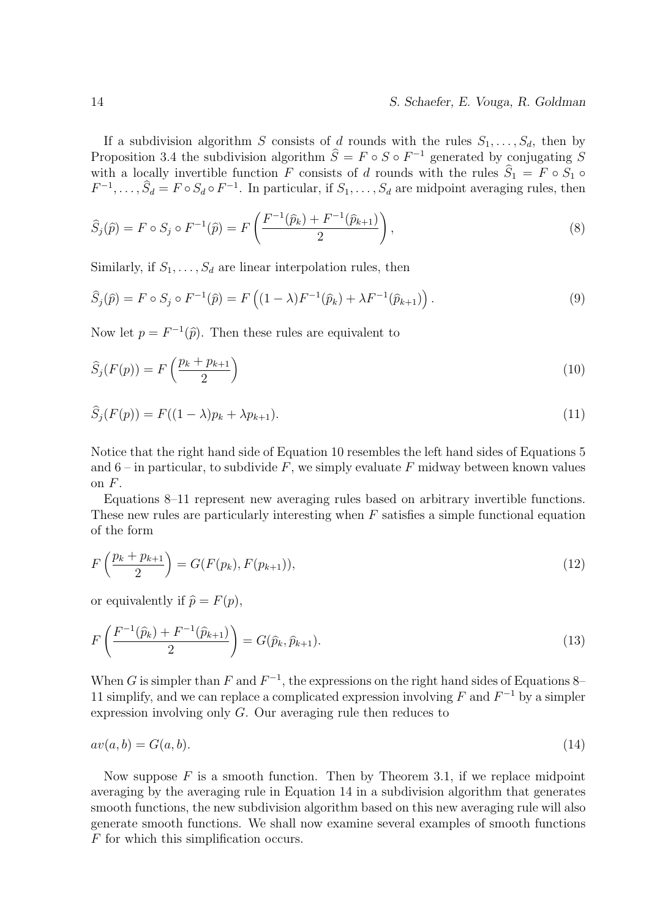If a subdivision algorithm S consists of d rounds with the rules  $S_1, \ldots, S_d$ , then by Proposition 3.4 the subdivision algorithm  $\hat{S} = F \circ S \circ F^{-1}$  generated by conjugating S with a locally invertible function F consists of d rounds with the rules  $\widehat{S}_1 = F \circ S_1 \circ$  $F^{-1}, \ldots, \widehat{S}_d = F \circ S_d \circ F^{-1}$ . In particular, if  $S_1, \ldots, S_d$  are midpoint averaging rules, then

$$
\widehat{S}_j(\widehat{p}) = F \circ S_j \circ F^{-1}(\widehat{p}) = F\left(\frac{F^{-1}(\widehat{p}_k) + F^{-1}(\widehat{p}_{k+1})}{2}\right),\tag{8}
$$

Similarly, if  $S_1, \ldots, S_d$  are linear interpolation rules, then

$$
\widehat{S}_j(\widehat{p}) = F \circ S_j \circ F^{-1}(\widehat{p}) = F\left((1 - \lambda)F^{-1}(\widehat{p}_k) + \lambda F^{-1}(\widehat{p}_{k+1})\right). \tag{9}
$$

Now let  $p = F^{-1}(\hat{p})$ . Then these rules are equivalent to

$$
\widehat{S}_j(F(p)) = F\left(\frac{p_k + p_{k+1}}{2}\right) \tag{10}
$$

$$
\widehat{S}_j(F(p)) = F((1 - \lambda)p_k + \lambda p_{k+1}).\tag{11}
$$

Notice that the right hand side of Equation 10 resembles the left hand sides of Equations 5 and  $6$  – in particular, to subdivide F, we simply evaluate F midway between known values on  $F$ .

Equations 8–11 represent new averaging rules based on arbitrary invertible functions. These new rules are particularly interesting when  $F$  satisfies a simple functional equation of the form

$$
F\left(\frac{p_k + p_{k+1}}{2}\right) = G(F(p_k), F(p_{k+1})),\tag{12}
$$

or equivalently if  $\hat{p} = F(p)$ ,

$$
F\left(\frac{F^{-1}(\hat{p}_k) + F^{-1}(\hat{p}_{k+1})}{2}\right) = G(\hat{p}_k, \hat{p}_{k+1}).
$$
\n(13)

When G is simpler than F and  $F^{-1}$ , the expressions on the right hand sides of Equations 8– 11 simplify, and we can replace a complicated expression involving  $F$  and  $F^{-1}$  by a simpler expression involving only G. Our averaging rule then reduces to

$$
av(a,b) = G(a,b). \tag{14}
$$

Now suppose  $F$  is a smooth function. Then by Theorem 3.1, if we replace midpoint averaging by the averaging rule in Equation 14 in a subdivision algorithm that generates smooth functions, the new subdivision algorithm based on this new averaging rule will also generate smooth functions. We shall now examine several examples of smooth functions F for which this simplification occurs.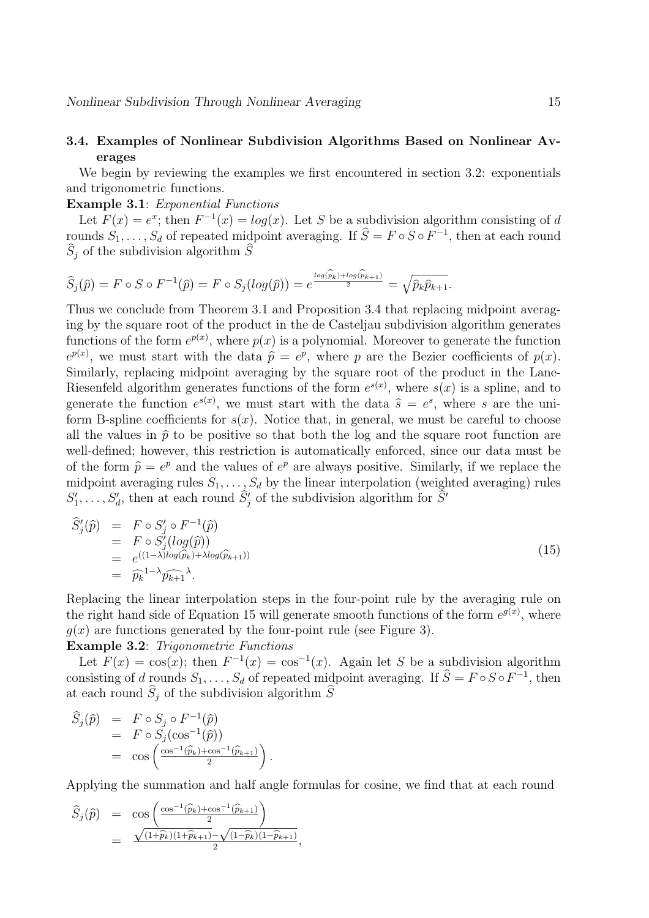# 3.4. Examples of Nonlinear Subdivision Algorithms Based on Nonlinear Averages

We begin by reviewing the examples we first encountered in section 3.2: exponentials and trigonometric functions.

#### Example 3.1: Exponential Functions

Let  $F(x) = e^x$ ; then  $F^{-1}(x) = log(x)$ . Let S be a subdivision algorithm consisting of d rounds  $S_1, \ldots, S_d$  of repeated midpoint averaging. If  $\widehat{S} = F \circ S \circ F^{-1}$ , then at each round  $S_i$  of the subdivision algorithm  $S$ 

$$
\widehat{S}_j(\widehat{p}) = F \circ S \circ F^{-1}(\widehat{p}) = F \circ S_j(log(\widehat{p})) = e^{\frac{log(\widehat{p}_k) + log(\widehat{p}_{k+1})}{2}} = \sqrt{\widehat{p}_k \widehat{p}_{k+1}}.
$$

Thus we conclude from Theorem 3.1 and Proposition 3.4 that replacing midpoint averaging by the square root of the product in the de Casteljau subdivision algorithm generates functions of the form  $e^{p(x)}$ , where  $p(x)$  is a polynomial. Moreover to generate the function  $e^{p(x)}$ , we must start with the data  $\hat{p} = e^p$ , where p are the Bezier coefficients of  $p(x)$ . Similarly, replacing midpoint averaging by the square root of the product in the Lane-Riesenfeld algorithm generates functions of the form  $e^{s(x)}$ , where  $s(x)$  is a spline, and to generate the function  $e^{s(x)}$ , we must start with the data  $\hat{s} = e^s$ , where s are the uniform B-spline coefficients for  $s(x)$ . Notice that, in general, we must be careful to choose all the values in  $\hat{p}$  to be positive so that both the log and the square root function are well-defined; however, this restriction is automatically enforced, since our data must be of the form  $\hat{p} = e^p$  and the values of  $e^p$  are always positive. Similarly, if we replace the midpoint averaging rules  $S_1, \ldots, S_d$  by the linear interpolation (weighted averaging) rules  $S_1'$  $j'_1, \ldots, S'_d$ , then at each round  $\hat{S}'_j$  $\hat{S}'$  of the subdivision algorithm for  $\tilde{\hat{S}}'$ 

$$
\begin{aligned}\n\widehat{S}'_j(\widehat{p}) &= F \circ S'_j \circ F^{-1}(\widehat{p}) \\
&= F \circ S'_j(log(\widehat{p})) \\
&= e^{((1-\lambda)log(\widehat{p}_k) + \lambda log(\widehat{p}_{k+1}))} \\
&= \widehat{p}_k^{-1-\lambda} \widehat{p}_{k+1}^{-\lambda}.\n\end{aligned} \tag{15}
$$

Replacing the linear interpolation steps in the four-point rule by the averaging rule on the right hand side of Equation 15 will generate smooth functions of the form  $e^{g(x)}$ , where  $g(x)$  are functions generated by the four-point rule (see Figure 3).

# Example 3.2: Trigonometric Functions

Let  $F(x) = cos(x)$ ; then  $F^{-1}(x) = cos^{-1}(x)$ . Again let S be a subdivision algorithm consisting of d rounds  $S_1, \ldots, S_d$  of repeated midpoint averaging. If  $\widehat{S} = F \circ S \circ F^{-1}$ , then at each round  $\widehat{S}_i$  of the subdivision algorithm  $\widehat{S}_i$ 

$$
\widehat{S}_j(\widehat{p}) = F \circ S_j \circ F^{-1}(\widehat{p}) \n= F \circ S_j(\cos^{-1}(\widehat{p})) \n= \cos \left( \frac{\cos^{-1}(\widehat{p}_k) + \cos^{-1}(\widehat{p}_{k+1})}{2} \right).
$$

Applying the summation and half angle formulas for cosine, we find that at each round

$$
\widehat{S}_j(\widehat{p}) = \cos\left(\frac{\cos^{-1}(\widehat{p}_k) + \cos^{-1}(\widehat{p}_{k+1})}{2}\right) \n= \frac{\sqrt{(1+\widehat{p}_k)(1+\widehat{p}_{k+1})} - \sqrt{(1-\widehat{p}_k)(1-\widehat{p}_{k+1})}}{2},
$$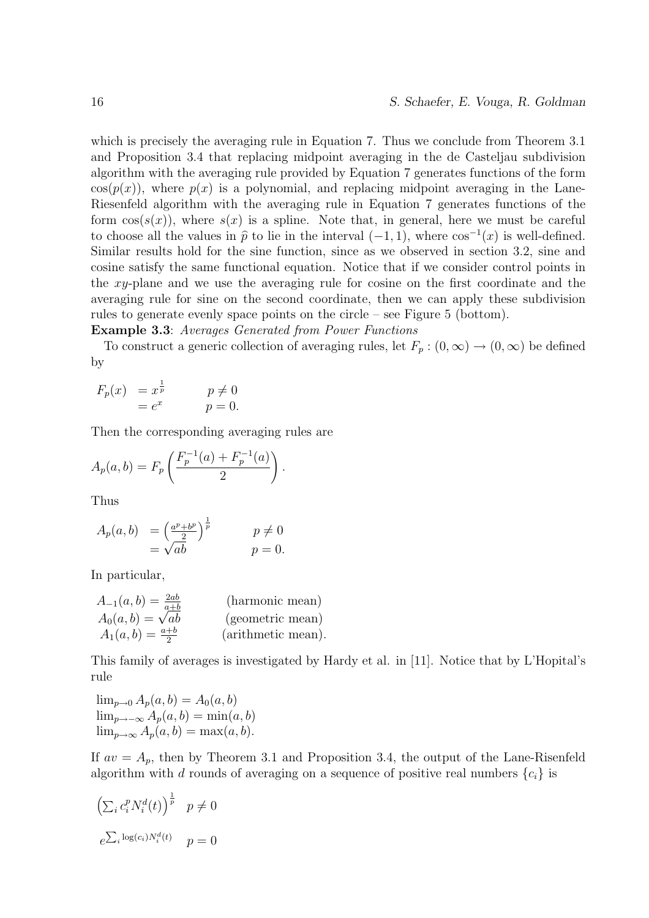which is precisely the averaging rule in Equation 7. Thus we conclude from Theorem 3.1 and Proposition 3.4 that replacing midpoint averaging in the de Casteljau subdivision algorithm with the averaging rule provided by Equation 7 generates functions of the form  $cos(p(x))$ , where  $p(x)$  is a polynomial, and replacing midpoint averaging in the Lane-Riesenfeld algorithm with the averaging rule in Equation 7 generates functions of the form  $cos(s(x))$ , where  $s(x)$  is a spline. Note that, in general, here we must be careful to choose all the values in  $\hat{p}$  to lie in the interval  $(-1, 1)$ , where  $\cos^{-1}(x)$  is well-defined. Similar results hold for the sine function, since as we observed in section 3.2, sine and cosine satisfy the same functional equation. Notice that if we consider control points in the xy-plane and we use the averaging rule for cosine on the first coordinate and the averaging rule for sine on the second coordinate, then we can apply these subdivision rules to generate evenly space points on the circle – see Figure 5 (bottom).

Example 3.3: Averages Generated from Power Functions

To construct a generic collection of averaging rules, let  $F_p : (0, \infty) \to (0, \infty)$  be defined by

$$
F_p(x) = x^{\frac{1}{p}}
$$
  
=  $e^x$   $p \neq 0$   
 $p = 0$ .

Then the corresponding averaging rules are

$$
A_p(a,b) = F_p\left(\frac{F_p^{-1}(a) + F_p^{-1}(a)}{2}\right).
$$

Thus

$$
A_p(a,b) = \left(\frac{a^p + b^p}{2}\right)^{\frac{1}{p}} \qquad p \neq 0
$$
  
=  $\sqrt{ab}$   $p = 0$ .

In particular,

$$
A_{-1}(a, b) = \frac{2ab}{a+b}
$$
 (harmonic mean)  
\n
$$
A_0(a, b) = \sqrt{ab}
$$
 (geometric mean)  
\n
$$
A_1(a, b) = \frac{a+b}{2}
$$
 (arithmetic mean).

This family of averages is investigated by Hardy et al. in [11]. Notice that by L'Hopital's rule

$$
\lim_{p\to 0} A_p(a, b) = A_0(a, b)
$$
  
\n
$$
\lim_{p\to -\infty} A_p(a, b) = \min(a, b)
$$
  
\n
$$
\lim_{p\to \infty} A_p(a, b) = \max(a, b).
$$

If  $av = A_p$ , then by Theorem 3.1 and Proposition 3.4, the output of the Lane-Risenfeld algorithm with d rounds of averaging on a sequence of positive real numbers  $\{c_i\}$  is

$$
\left(\sum_{i} c_i^p N_i^d(t)\right)^{\frac{1}{p}} \quad p \neq 0
$$

$$
e^{\sum_{i} \log(c_i) N_i^d(t)} \quad p = 0
$$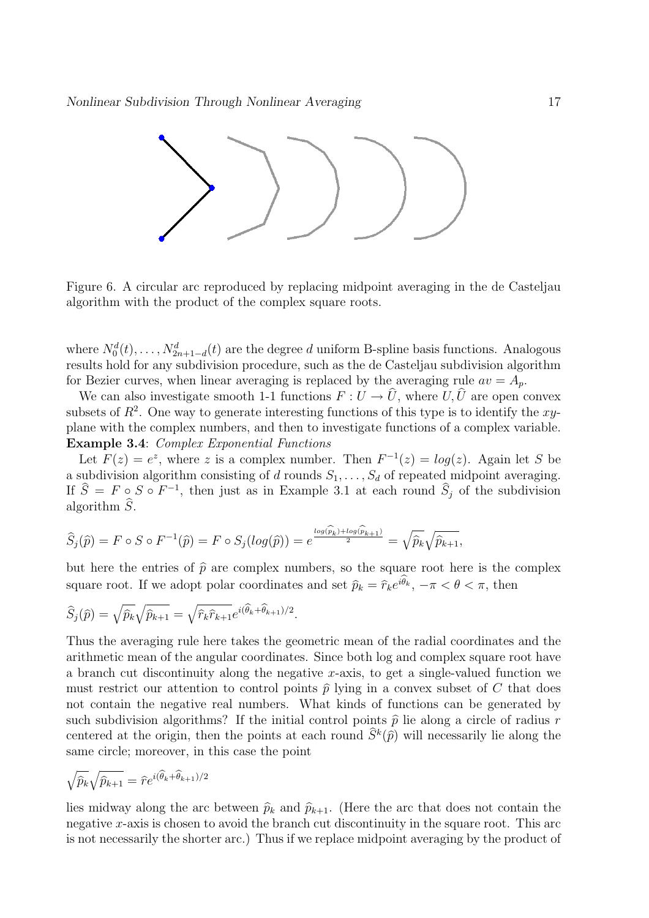

Figure 6. A circular arc reproduced by replacing midpoint averaging in the de Casteljau algorithm with the product of the complex square roots.

where  $N_0^d(t), \ldots, N_{2n+1-d}^d(t)$  are the degree d uniform B-spline basis functions. Analogous results hold for any subdivision procedure, such as the de Casteljau subdivision algorithm for Bezier curves, when linear averaging is replaced by the averaging rule  $av = A_p$ .

We can also investigate smooth 1-1 functions  $F: U \to \hat{U}$ , where  $U, \hat{U}$  are open convex subsets of  $R^2$ . One way to generate interesting functions of this type is to identify the xyplane with the complex numbers, and then to investigate functions of a complex variable. Example 3.4: Complex Exponential Functions

Let  $F(z) = e^z$ , where z is a complex number. Then  $F^{-1}(z) = log(z)$ . Again let S be a subdivision algorithm consisting of d rounds  $S_1, \ldots, S_d$  of repeated midpoint averaging. If  $\widehat{S} = F \circ S \circ F^{-1}$ , then just as in Example 3.1 at each round  $\widehat{S}_j$  of the subdivision algorithm  $\hat{S}$ .

$$
\widehat{S}_j(\widehat{p}) = F \circ S \circ F^{-1}(\widehat{p}) = F \circ S_j(log(\widehat{p})) = e^{\frac{log(\widehat{p}_k) + log(\widehat{p}_{k+1})}{2}} = \sqrt{\widehat{p}_k} \sqrt{\widehat{p}_{k+1}},
$$

but here the entries of  $\hat{p}$  are complex numbers, so the square root here is the complex square root. If we adopt polar coordinates and set  $\hat{p}_k = \hat{r}_k e^{i\theta_k}$ ,  $-\pi < \theta < \pi$ , then

$$
\widehat{S}_j(\widehat{p}) = \sqrt{\widehat{p}_k} \sqrt{\widehat{p}_{k+1}} = \sqrt{\widehat{r}_k \widehat{r}_{k+1}} e^{i(\widehat{\theta}_k + \widehat{\theta}_{k+1})/2}.
$$

Thus the averaging rule here takes the geometric mean of the radial coordinates and the arithmetic mean of the angular coordinates. Since both log and complex square root have a branch cut discontinuity along the negative x-axis, to get a single-valued function we must restrict our attention to control points  $\hat{p}$  lying in a convex subset of C that does not contain the negative real numbers. What kinds of functions can be generated by such subdivision algorithms? If the initial control points  $\hat{p}$  lie along a circle of radius r centered at the origin, then the points at each round  $\hat{S}^k(\hat{p})$  will necessarily lie along the same circle; moreover, in this case the point

$$
\sqrt{\widehat{p}_k}\sqrt{\widehat{p}_{k+1}} = \widehat{r}e^{i(\widehat{\theta}_k + \widehat{\theta}_{k+1})/2}
$$

lies midway along the arc between  $\hat{p}_k$  and  $\hat{p}_{k+1}$ . (Here the arc that does not contain the negative x-axis is chosen to avoid the branch cut discontinuity in the square root. This arc is not necessarily the shorter arc.) Thus if we replace midpoint averaging by the product of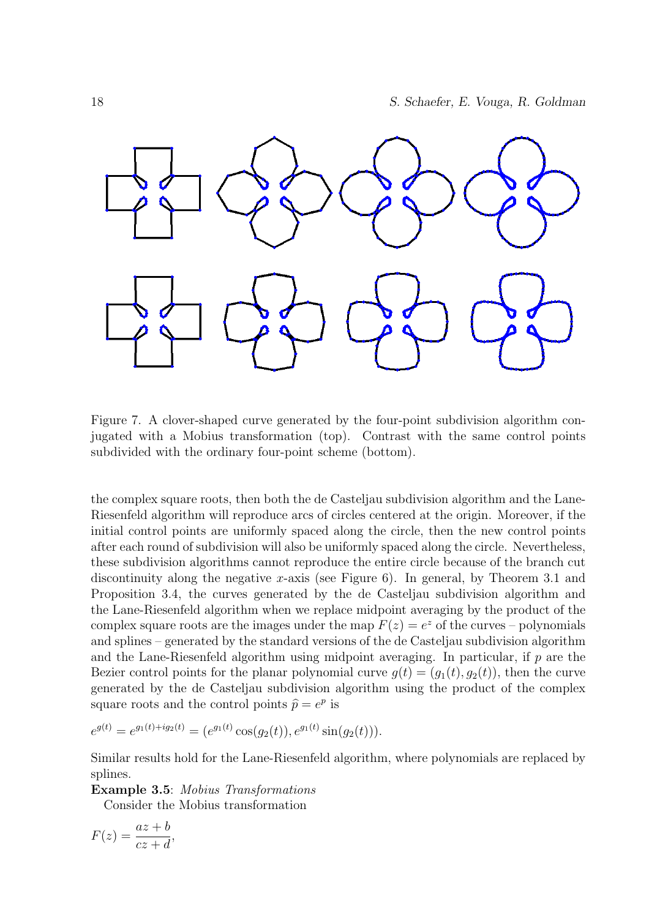18 S. Schaefer, E. Vouga, R. Goldman



Figure 7. A clover-shaped curve generated by the four-point subdivision algorithm conjugated with a Mobius transformation (top). Contrast with the same control points subdivided with the ordinary four-point scheme (bottom).

the complex square roots, then both the de Casteljau subdivision algorithm and the Lane-Riesenfeld algorithm will reproduce arcs of circles centered at the origin. Moreover, if the initial control points are uniformly spaced along the circle, then the new control points after each round of subdivision will also be uniformly spaced along the circle. Nevertheless, these subdivision algorithms cannot reproduce the entire circle because of the branch cut discontinuity along the negative x-axis (see Figure 6). In general, by Theorem 3.1 and Proposition 3.4, the curves generated by the de Casteljau subdivision algorithm and the Lane-Riesenfeld algorithm when we replace midpoint averaging by the product of the complex square roots are the images under the map  $F(z) = e^z$  of the curves – polynomials and splines – generated by the standard versions of the de Casteljau subdivision algorithm and the Lane-Riesenfeld algorithm using midpoint averaging. In particular, if  $p$  are the Bezier control points for the planar polynomial curve  $g(t) = (g_1(t), g_2(t))$ , then the curve generated by the de Casteljau subdivision algorithm using the product of the complex square roots and the control points  $\hat{p} = e^p$  is

$$
e^{g(t)} = e^{g_1(t) + ig_2(t)} = (e^{g_1(t)} \cos(g_2(t)), e^{g_1(t)} \sin(g_2(t))).
$$

Similar results hold for the Lane-Riesenfeld algorithm, where polynomials are replaced by splines.

Example 3.5: Mobius Transformations

Consider the Mobius transformation

$$
F(z) = \frac{az+b}{cz+d},
$$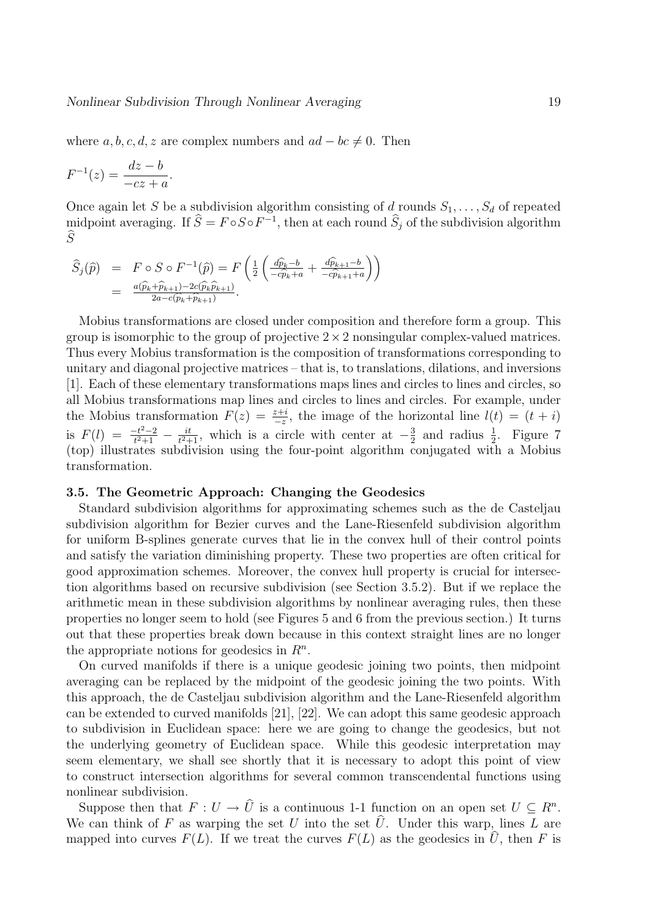where  $a, b, c, d, z$  are complex numbers and  $ad - bc \neq 0$ . Then

$$
F^{-1}(z) = \frac{dz - b}{-cz + a}.
$$

Once again let S be a subdivision algorithm consisting of d rounds  $S_1, \ldots, S_d$  of repeated midpoint averaging. If  $\hat{S} = F \circ S \circ F^{-1}$ , then at each round  $\hat{S}_j$  of the subdivision algorithm  $\widehat{S}$ 

$$
\widehat{S}_j(\widehat{p}) = F \circ S \circ F^{-1}(\widehat{p}) = F\left(\frac{1}{2}\left(\frac{d\widehat{p}_k - b}{-c\widehat{p}_k + a} + \frac{d\widehat{p}_{k+1} - b}{-c\widehat{p}_{k+1} + a}\right)\right)
$$
  
= 
$$
\frac{a(\widehat{p}_k + \widehat{p}_{k+1}) - 2c(\widehat{p}_k \widehat{p}_{k+1})}{2a - c(\widehat{p}_k + \widehat{p}_{k+1})}.
$$

Mobius transformations are closed under composition and therefore form a group. This group is isomorphic to the group of projective  $2 \times 2$  nonsingular complex-valued matrices. Thus every Mobius transformation is the composition of transformations corresponding to unitary and diagonal projective matrices – that is, to translations, dilations, and inversions [1]. Each of these elementary transformations maps lines and circles to lines and circles, so all Mobius transformations map lines and circles to lines and circles. For example, under the Mobius transformation  $F(z) = \frac{z+i}{z}$ , the image of the horizontal line  $l(t) = (t + i)$ is  $F(l) = \frac{-t^2 - 2}{t^2 + 1}$  $\frac{-t^2-2}{t^2+1} - \frac{it}{t^2+1}$  $\frac{it}{t^2+1}$ , which is a circle with center at  $-\frac{3}{2}$  $\frac{3}{2}$  and radius  $\frac{1}{2}$ . Figure 7 (top) illustrates subdivision using the four-point algorithm conjugated with a Mobius transformation.

#### 3.5. The Geometric Approach: Changing the Geodesics

Standard subdivision algorithms for approximating schemes such as the de Casteljau subdivision algorithm for Bezier curves and the Lane-Riesenfeld subdivision algorithm for uniform B-splines generate curves that lie in the convex hull of their control points and satisfy the variation diminishing property. These two properties are often critical for good approximation schemes. Moreover, the convex hull property is crucial for intersection algorithms based on recursive subdivision (see Section 3.5.2). But if we replace the arithmetic mean in these subdivision algorithms by nonlinear averaging rules, then these properties no longer seem to hold (see Figures 5 and 6 from the previous section.) It turns out that these properties break down because in this context straight lines are no longer the appropriate notions for geodesics in  $R<sup>n</sup>$ .

On curved manifolds if there is a unique geodesic joining two points, then midpoint averaging can be replaced by the midpoint of the geodesic joining the two points. With this approach, the de Casteljau subdivision algorithm and the Lane-Riesenfeld algorithm can be extended to curved manifolds [21], [22]. We can adopt this same geodesic approach to subdivision in Euclidean space: here we are going to change the geodesics, but not the underlying geometry of Euclidean space. While this geodesic interpretation may seem elementary, we shall see shortly that it is necessary to adopt this point of view to construct intersection algorithms for several common transcendental functions using nonlinear subdivision.

Suppose then that  $F: U \to \hat{U}$  is a continuous 1-1 function on an open set  $U \subseteq R^n$ . We can think of F as warping the set U into the set  $\hat{U}$ . Under this warp, lines L are mapped into curves  $F(L)$ . If we treat the curves  $F(L)$  as the geodesics in U, then F is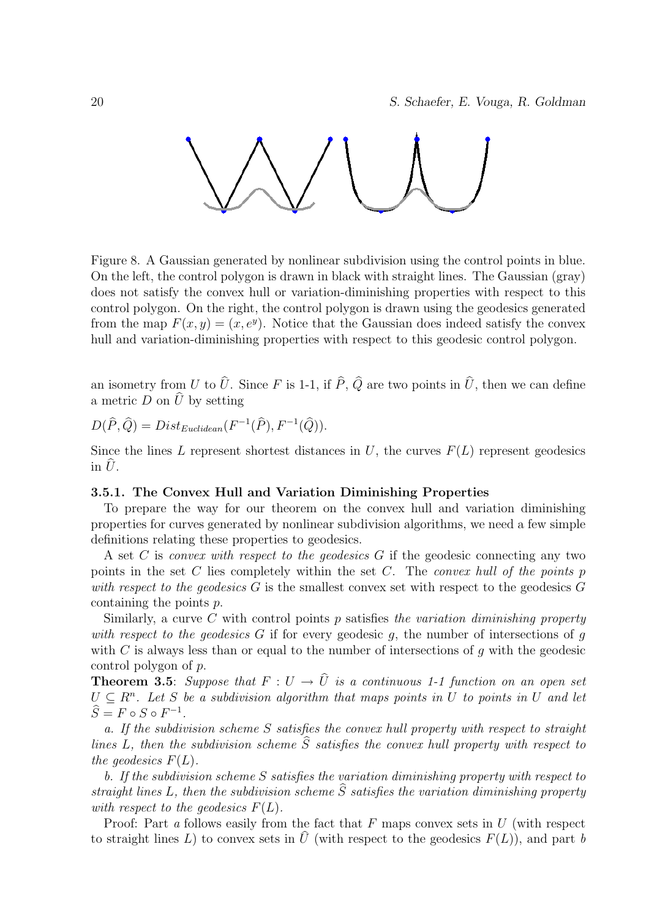

Figure 8. A Gaussian generated by nonlinear subdivision using the control points in blue. On the left, the control polygon is drawn in black with straight lines. The Gaussian (gray) does not satisfy the convex hull or variation-diminishing properties with respect to this control polygon. On the right, the control polygon is drawn using the geodesics generated from the map  $F(x, y) = (x, e^y)$ . Notice that the Gaussian does indeed satisfy the convex hull and variation-diminishing properties with respect to this geodesic control polygon.

an isometry from U to  $\hat{U}$ . Since F is 1-1, if  $\hat{P}$ ,  $\hat{Q}$  are two points in  $\hat{U}$ , then we can define a metric D on  $\hat{U}$  by setting

$$
D(\widehat{P}, \widehat{Q}) = Dist_{Euclidean}(F^{-1}(\widehat{P}), F^{-1}(\widehat{Q})).
$$

Since the lines L represent shortest distances in U, the curves  $F(L)$  represent geodesics in  $\hat{U}$ .

#### 3.5.1. The Convex Hull and Variation Diminishing Properties

To prepare the way for our theorem on the convex hull and variation diminishing properties for curves generated by nonlinear subdivision algorithms, we need a few simple definitions relating these properties to geodesics.

A set C is convex with respect to the geodesics  $G$  if the geodesic connecting any two points in the set C lies completely within the set C. The *convex hull of the points p* with respect to the geodesics  $G$  is the smallest convex set with respect to the geodesics  $G$ containing the points p.

Similarly, a curve  $C$  with control points  $p$  satisfies the variation diminishing property with respect to the geodesics G if for every geodesic q, the number of intersections of q with  $C$  is always less than or equal to the number of intersections of  $q$  with the geodesic control polygon of p.

**Theorem 3.5:** Suppose that  $F: U \to \hat{U}$  is a continuous 1-1 function on an open set  $U \subseteq R^n$ . Let S be a subdivision algorithm that maps points in U to points in U and let  $\widehat{S} = F \circ S \circ F^{-1}.$ 

a. If the subdivision scheme S satisfies the convex hull property with respect to straight lines L, then the subdivision scheme  $\hat{S}$  satisfies the convex hull property with respect to the geodesics  $F(L)$ .

b. If the subdivision scheme S satisfies the variation diminishing property with respect to straight lines L, then the subdivision scheme  $\hat{S}$  satisfies the variation diminishing property with respect to the geodesics  $F(L)$ .

Proof: Part a follows easily from the fact that  $F$  maps convex sets in  $U$  (with respect to straight lines L) to convex sets in  $\hat{U}$  (with respect to the geodesics  $F(L)$ ), and part b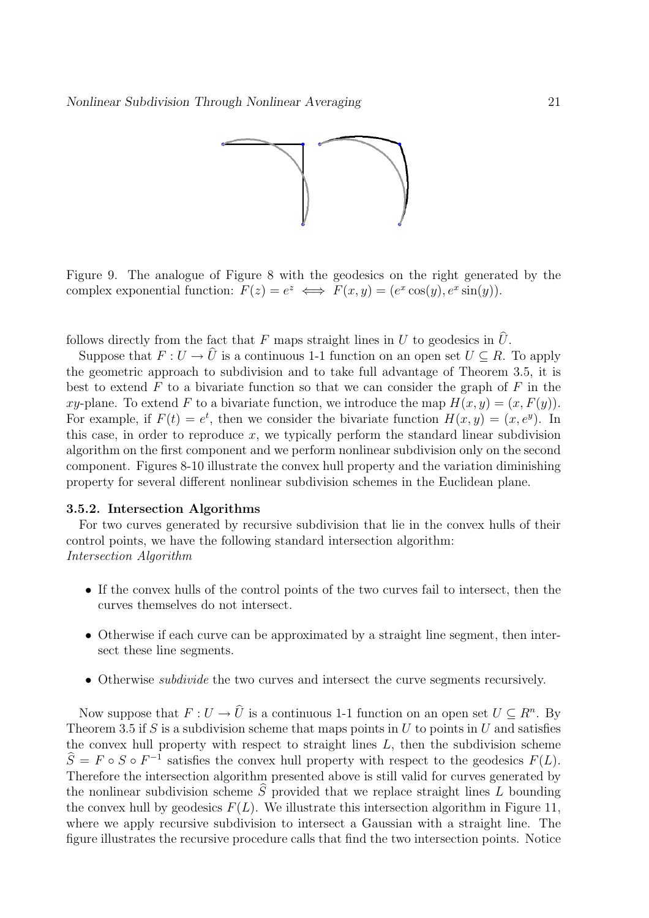

Figure 9. The analogue of Figure 8 with the geodesics on the right generated by the complex exponential function:  $F(z) = e^z \iff F(x, y) = (e^x \cos(y), e^x \sin(y)).$ 

follows directly from the fact that F maps straight lines in U to geodesics in  $\hat{U}$ .

Suppose that  $F: U \to \hat{U}$  is a continuous 1-1 function on an open set  $U \subseteq R$ . To apply the geometric approach to subdivision and to take full advantage of Theorem 3.5, it is best to extend  $F$  to a bivariate function so that we can consider the graph of  $F$  in the xy-plane. To extend F to a bivariate function, we introduce the map  $H(x, y) = (x, F(y))$ . For example, if  $F(t) = e^t$ , then we consider the bivariate function  $H(x, y) = (x, e^y)$ . In this case, in order to reproduce  $x$ , we typically perform the standard linear subdivision algorithm on the first component and we perform nonlinear subdivision only on the second component. Figures 8-10 illustrate the convex hull property and the variation diminishing property for several different nonlinear subdivision schemes in the Euclidean plane.

## 3.5.2. Intersection Algorithms

For two curves generated by recursive subdivision that lie in the convex hulls of their control points, we have the following standard intersection algorithm: Intersection Algorithm

- If the convex hulls of the control points of the two curves fail to intersect, then the curves themselves do not intersect.
- Otherwise if each curve can be approximated by a straight line segment, then intersect these line segments.
- Otherwise subdivide the two curves and intersect the curve segments recursively.

Now suppose that  $F: U \to \hat{U}$  is a continuous 1-1 function on an open set  $U \subseteq R^n$ . By Theorem 3.5 if S is a subdivision scheme that maps points in U to points in U and satisfies the convex hull property with respect to straight lines  $L$ , then the subdivision scheme  $\widehat{S} = F \circ S \circ F^{-1}$  satisfies the convex hull property with respect to the geodesics  $F(L)$ . Therefore the intersection algorithm presented above is still valid for curves generated by the nonlinear subdivision scheme  $\hat{S}$  provided that we replace straight lines L bounding the convex hull by geodesics  $F(L)$ . We illustrate this intersection algorithm in Figure 11, where we apply recursive subdivision to intersect a Gaussian with a straight line. The figure illustrates the recursive procedure calls that find the two intersection points. Notice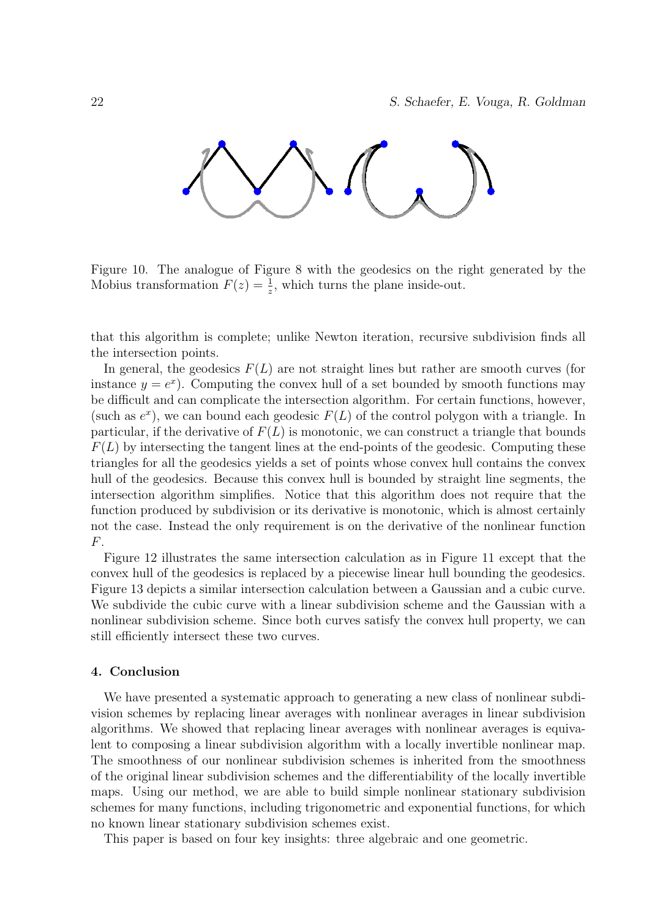

Figure 10. The analogue of Figure 8 with the geodesics on the right generated by the Mobius transformation  $F(z) = \frac{1}{z}$ , which turns the plane inside-out.

that this algorithm is complete; unlike Newton iteration, recursive subdivision finds all the intersection points.

In general, the geodesics  $F(L)$  are not straight lines but rather are smooth curves (for instance  $y = e^x$ ). Computing the convex hull of a set bounded by smooth functions may be difficult and can complicate the intersection algorithm. For certain functions, however, (such as  $e^x$ ), we can bound each geodesic  $F(L)$  of the control polygon with a triangle. In particular, if the derivative of  $F(L)$  is monotonic, we can construct a triangle that bounds  $F(L)$  by intersecting the tangent lines at the end-points of the geodesic. Computing these triangles for all the geodesics yields a set of points whose convex hull contains the convex hull of the geodesics. Because this convex hull is bounded by straight line segments, the intersection algorithm simplifies. Notice that this algorithm does not require that the function produced by subdivision or its derivative is monotonic, which is almost certainly not the case. Instead the only requirement is on the derivative of the nonlinear function F.

Figure 12 illustrates the same intersection calculation as in Figure 11 except that the convex hull of the geodesics is replaced by a piecewise linear hull bounding the geodesics. Figure 13 depicts a similar intersection calculation between a Gaussian and a cubic curve. We subdivide the cubic curve with a linear subdivision scheme and the Gaussian with a nonlinear subdivision scheme. Since both curves satisfy the convex hull property, we can still efficiently intersect these two curves.

## 4. Conclusion

We have presented a systematic approach to generating a new class of nonlinear subdivision schemes by replacing linear averages with nonlinear averages in linear subdivision algorithms. We showed that replacing linear averages with nonlinear averages is equivalent to composing a linear subdivision algorithm with a locally invertible nonlinear map. The smoothness of our nonlinear subdivision schemes is inherited from the smoothness of the original linear subdivision schemes and the differentiability of the locally invertible maps. Using our method, we are able to build simple nonlinear stationary subdivision schemes for many functions, including trigonometric and exponential functions, for which no known linear stationary subdivision schemes exist.

This paper is based on four key insights: three algebraic and one geometric.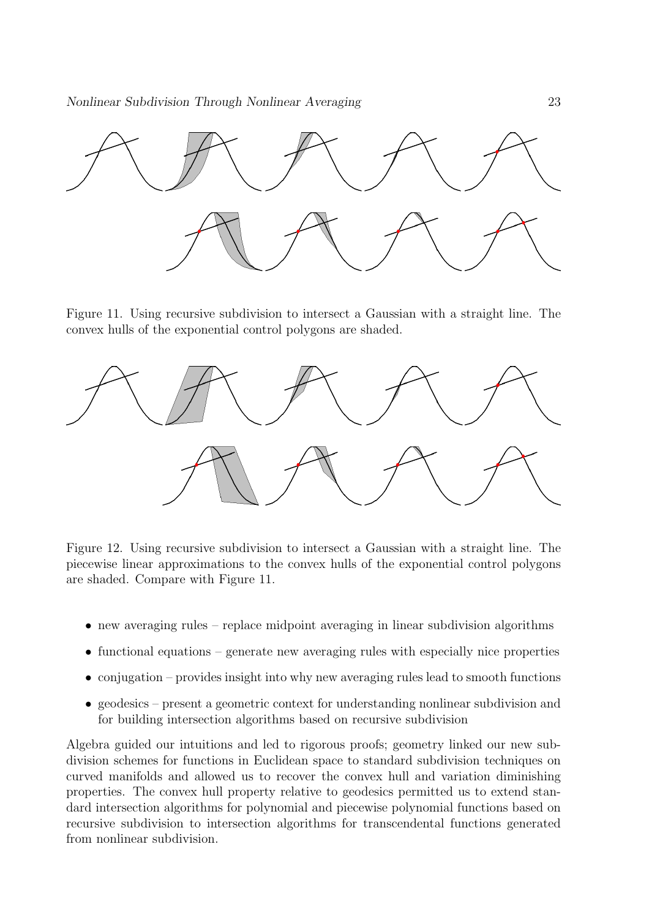Nonlinear Subdivision Through Nonlinear Averaging 23



Figure 11. Using recursive subdivision to intersect a Gaussian with a straight line. The convex hulls of the exponential control polygons are shaded.



Figure 12. Using recursive subdivision to intersect a Gaussian with a straight line. The piecewise linear approximations to the convex hulls of the exponential control polygons are shaded. Compare with Figure 11.

- new averaging rules replace midpoint averaging in linear subdivision algorithms
- $\bullet$  functional equations generate new averaging rules with especially nice properties
- conjugation provides insight into why new averaging rules lead to smooth functions
- geodesics present a geometric context for understanding nonlinear subdivision and for building intersection algorithms based on recursive subdivision

Algebra guided our intuitions and led to rigorous proofs; geometry linked our new subdivision schemes for functions in Euclidean space to standard subdivision techniques on curved manifolds and allowed us to recover the convex hull and variation diminishing properties. The convex hull property relative to geodesics permitted us to extend standard intersection algorithms for polynomial and piecewise polynomial functions based on recursive subdivision to intersection algorithms for transcendental functions generated from nonlinear subdivision.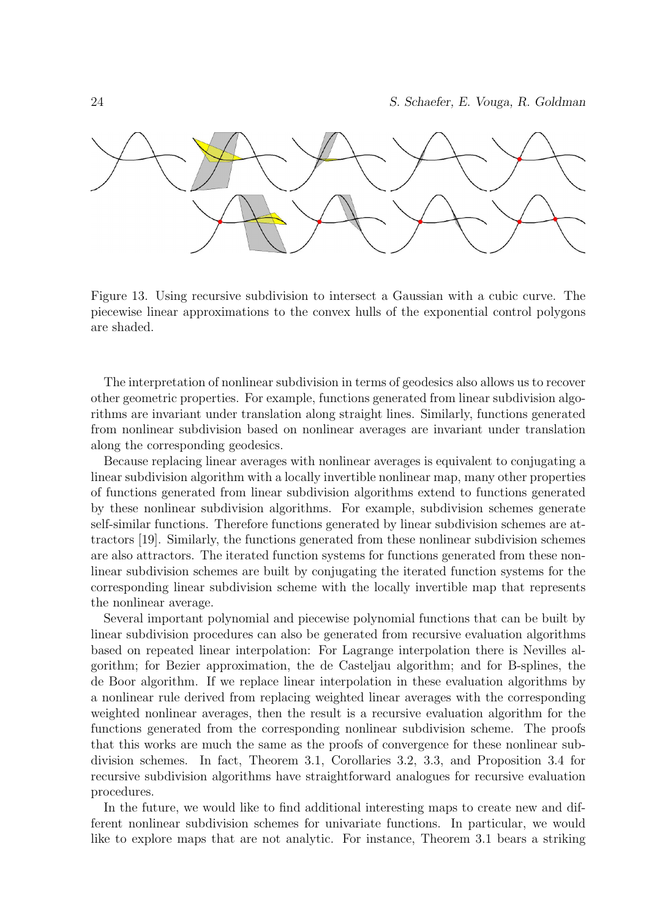

Figure 13. Using recursive subdivision to intersect a Gaussian with a cubic curve. The piecewise linear approximations to the convex hulls of the exponential control polygons are shaded.

The interpretation of nonlinear subdivision in terms of geodesics also allows us to recover other geometric properties. For example, functions generated from linear subdivision algorithms are invariant under translation along straight lines. Similarly, functions generated from nonlinear subdivision based on nonlinear averages are invariant under translation along the corresponding geodesics.

Because replacing linear averages with nonlinear averages is equivalent to conjugating a linear subdivision algorithm with a locally invertible nonlinear map, many other properties of functions generated from linear subdivision algorithms extend to functions generated by these nonlinear subdivision algorithms. For example, subdivision schemes generate self-similar functions. Therefore functions generated by linear subdivision schemes are attractors [19]. Similarly, the functions generated from these nonlinear subdivision schemes are also attractors. The iterated function systems for functions generated from these nonlinear subdivision schemes are built by conjugating the iterated function systems for the corresponding linear subdivision scheme with the locally invertible map that represents the nonlinear average.

Several important polynomial and piecewise polynomial functions that can be built by linear subdivision procedures can also be generated from recursive evaluation algorithms based on repeated linear interpolation: For Lagrange interpolation there is Nevilles algorithm; for Bezier approximation, the de Casteljau algorithm; and for B-splines, the de Boor algorithm. If we replace linear interpolation in these evaluation algorithms by a nonlinear rule derived from replacing weighted linear averages with the corresponding weighted nonlinear averages, then the result is a recursive evaluation algorithm for the functions generated from the corresponding nonlinear subdivision scheme. The proofs that this works are much the same as the proofs of convergence for these nonlinear subdivision schemes. In fact, Theorem 3.1, Corollaries 3.2, 3.3, and Proposition 3.4 for recursive subdivision algorithms have straightforward analogues for recursive evaluation procedures.

In the future, we would like to find additional interesting maps to create new and different nonlinear subdivision schemes for univariate functions. In particular, we would like to explore maps that are not analytic. For instance, Theorem 3.1 bears a striking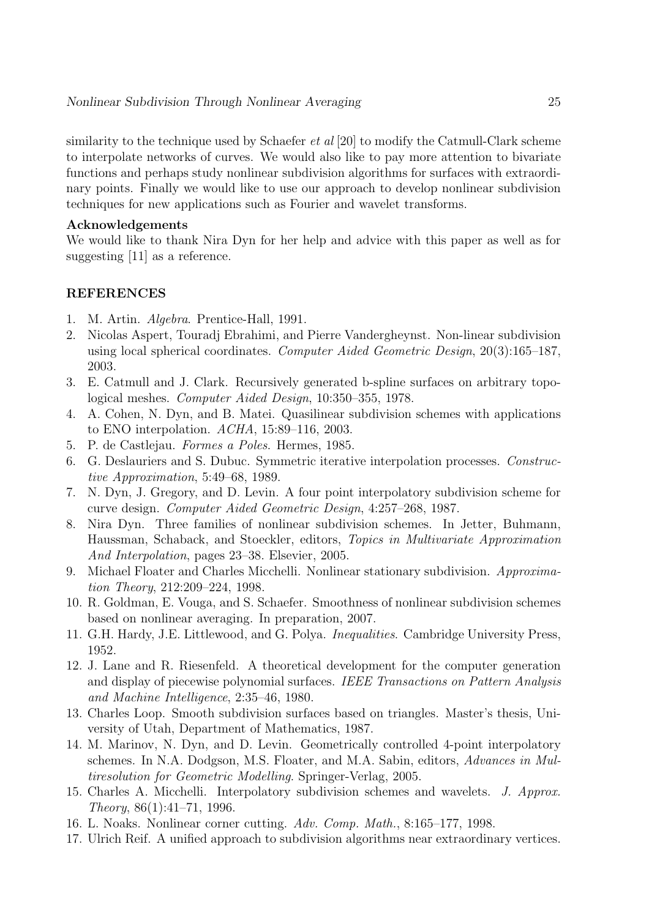similarity to the technique used by Schaefer *et al* [20] to modify the Catmull-Clark scheme to interpolate networks of curves. We would also like to pay more attention to bivariate functions and perhaps study nonlinear subdivision algorithms for surfaces with extraordinary points. Finally we would like to use our approach to develop nonlinear subdivision techniques for new applications such as Fourier and wavelet transforms.

## Acknowledgements

We would like to thank Nira Dyn for her help and advice with this paper as well as for suggesting [11] as a reference.

# REFERENCES

- 1. M. Artin. Algebra. Prentice-Hall, 1991.
- 2. Nicolas Aspert, Touradj Ebrahimi, and Pierre Vandergheynst. Non-linear subdivision using local spherical coordinates. Computer Aided Geometric Design, 20(3):165–187, 2003.
- 3. E. Catmull and J. Clark. Recursively generated b-spline surfaces on arbitrary topological meshes. Computer Aided Design, 10:350–355, 1978.
- 4. A. Cohen, N. Dyn, and B. Matei. Quasilinear subdivision schemes with applications to ENO interpolation. ACHA, 15:89–116, 2003.
- 5. P. de Castlejau. Formes a Poles. Hermes, 1985.
- 6. G. Deslauriers and S. Dubuc. Symmetric iterative interpolation processes. Constructive Approximation, 5:49–68, 1989.
- 7. N. Dyn, J. Gregory, and D. Levin. A four point interpolatory subdivision scheme for curve design. Computer Aided Geometric Design, 4:257–268, 1987.
- 8. Nira Dyn. Three families of nonlinear subdivision schemes. In Jetter, Buhmann, Haussman, Schaback, and Stoeckler, editors, Topics in Multivariate Approximation And Interpolation, pages 23–38. Elsevier, 2005.
- 9. Michael Floater and Charles Micchelli. Nonlinear stationary subdivision. Approximation Theory, 212:209–224, 1998.
- 10. R. Goldman, E. Vouga, and S. Schaefer. Smoothness of nonlinear subdivision schemes based on nonlinear averaging. In preparation, 2007.
- 11. G.H. Hardy, J.E. Littlewood, and G. Polya. Inequalities. Cambridge University Press, 1952.
- 12. J. Lane and R. Riesenfeld. A theoretical development for the computer generation and display of piecewise polynomial surfaces. IEEE Transactions on Pattern Analysis and Machine Intelligence, 2:35–46, 1980.
- 13. Charles Loop. Smooth subdivision surfaces based on triangles. Master's thesis, University of Utah, Department of Mathematics, 1987.
- 14. M. Marinov, N. Dyn, and D. Levin. Geometrically controlled 4-point interpolatory schemes. In N.A. Dodgson, M.S. Floater, and M.A. Sabin, editors, Advances in Multiresolution for Geometric Modelling. Springer-Verlag, 2005.
- 15. Charles A. Micchelli. Interpolatory subdivision schemes and wavelets. J. Approx. Theory, 86(1):41–71, 1996.
- 16. L. Noaks. Nonlinear corner cutting. Adv. Comp. Math., 8:165–177, 1998.
- 17. Ulrich Reif. A unified approach to subdivision algorithms near extraordinary vertices.